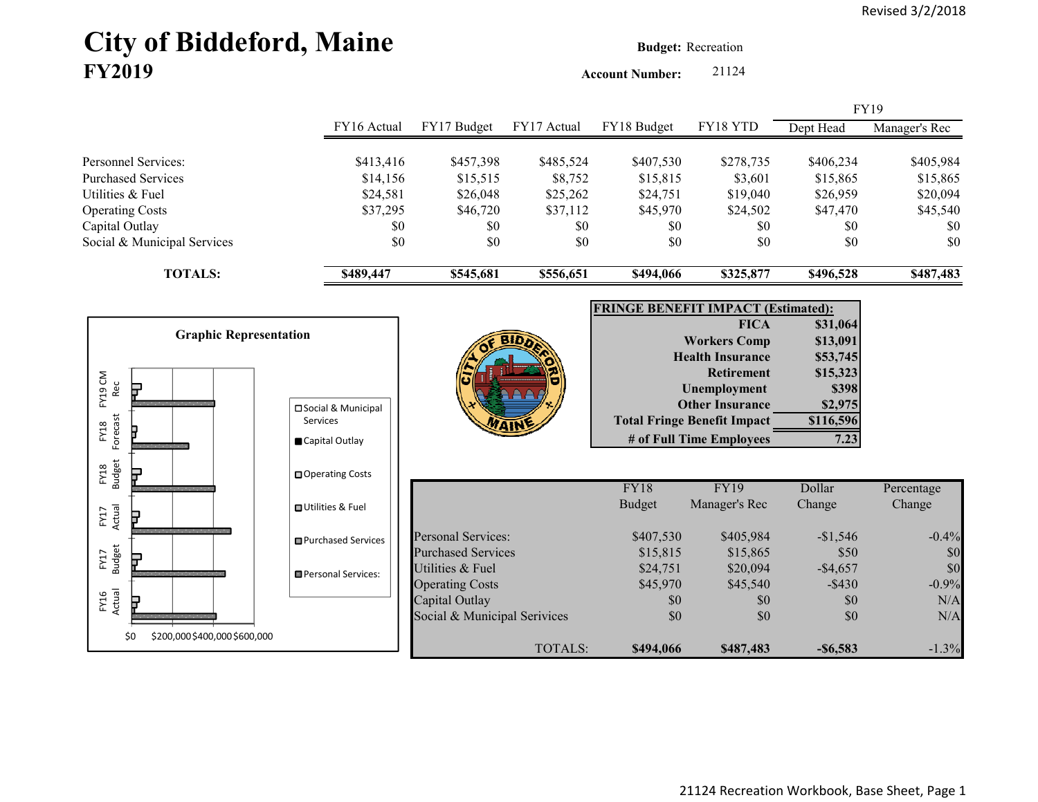# City of Biddeford, Maine **Budget: Recreation FY2019**

**Account Number:** 21124

|                                                  |                                         |                                                        |                      |                                           |                                                              |                       | <b>FY19</b>           |
|--------------------------------------------------|-----------------------------------------|--------------------------------------------------------|----------------------|-------------------------------------------|--------------------------------------------------------------|-----------------------|-----------------------|
|                                                  | FY16 Actual                             | FY17 Budget                                            | FY17 Actual          | FY18 Budget                               | FY18 YTD                                                     | Dept Head             | Manager's Rec         |
| Personnel Services:<br><b>Purchased Services</b> | \$413,416<br>\$14,156                   | \$457,398<br>\$15,515                                  | \$485,524<br>\$8,752 | \$407,530<br>\$15,815                     | \$278,735<br>\$3,601                                         | \$406,234<br>\$15,865 | \$405,984<br>\$15,865 |
| Utilities & Fuel                                 | \$24,581                                | \$26,048                                               | \$25,262             | \$24,751                                  | \$19,040                                                     | \$26,959              | \$20,094              |
| <b>Operating Costs</b>                           | \$37,295                                | \$46,720                                               | \$37,112             | \$45,970                                  | \$24,502                                                     | \$47,470              | \$45,540              |
| Capital Outlay<br>Social & Municipal Services    | \$0<br>\$0                              | \$0<br>\$0                                             | \$0<br>\$0           | \$0<br>\$0                                | \$0<br>\$0                                                   | \$0<br>\$0            | \$0<br>\$0            |
| <b>TOTALS:</b>                                   | \$489,447                               | \$545,681                                              | \$556,651            | \$494,066                                 | \$325,877                                                    | \$496,528             | \$487,483             |
|                                                  |                                         |                                                        |                      | <b>FRINGE BENEFIT IMPACT (Estimated):</b> |                                                              |                       |                       |
|                                                  |                                         |                                                        |                      |                                           | <b>FICA</b>                                                  | \$31,064              |                       |
| <b>Graphic Representation</b>                    |                                         |                                                        |                      |                                           | <b>Workers Comp</b>                                          | \$13,091              |                       |
|                                                  |                                         |                                                        |                      |                                           | <b>Health Insurance</b>                                      | \$53,745              |                       |
| FY19 CM                                          |                                         |                                                        |                      |                                           | <b>Retirement</b>                                            | \$15,323              |                       |
| Rec<br>5                                         |                                         |                                                        |                      |                                           | <b>Unemployment</b>                                          | \$398                 |                       |
|                                                  | □ Social & Municipal<br><b>Services</b> |                                                        |                      |                                           | <b>Other Insurance</b><br><b>Total Fringe Benefit Impact</b> | \$2,975<br>\$116,596  |                       |
| Forecast<br>FY18                                 | Capital Outlay                          |                                                        |                      |                                           | # of Full Time Employees                                     | 7.23                  |                       |
|                                                  |                                         |                                                        |                      |                                           |                                                              |                       |                       |
| <b>Budget</b><br>FY18                            | □ Operating Costs                       |                                                        |                      | FY18                                      | <b>FY19</b>                                                  | Dollar                | Percentage            |
|                                                  | <b>□</b> Utilities & Fuel               |                                                        |                      | <b>Budget</b>                             | Manager's Rec                                                | Change                | Change                |
| Actual<br>FY17                                   |                                         |                                                        |                      |                                           |                                                              |                       |                       |
|                                                  | <b>□</b> Purchased Services             | <b>Personal Services:</b><br><b>Purchased Services</b> |                      | \$407,530<br>\$15,815                     | \$405,984<br>\$15,865                                        | $-$1,546$<br>\$50     | $-0.4%$<br>\$0        |
| <b>Budget</b><br>FY17<br>₽                       |                                         | Utilities & Fuel                                       |                      | \$24,751                                  | \$20,094                                                     | $-$4,657$             | \$0                   |
|                                                  | Personal Services:                      | <b>Operating Costs</b>                                 |                      | \$45,970                                  | \$45,540                                                     | $-$ \$430             | $-0.9%$               |
| FY16<br>Actual                                   |                                         | Capital Outlay                                         |                      | \$0                                       | \$0                                                          | \$0                   | N/A                   |
|                                                  |                                         | Social & Municipal Serivices                           |                      | \$0                                       | \$0                                                          | \$0                   | N/A                   |
| \$0<br>\$200,000 \$400,000 \$600,000             |                                         |                                                        | <b>TOTALS:</b>       | \$494,066                                 | \$487,483                                                    | $-$ \$6,583           | $-1.3%$               |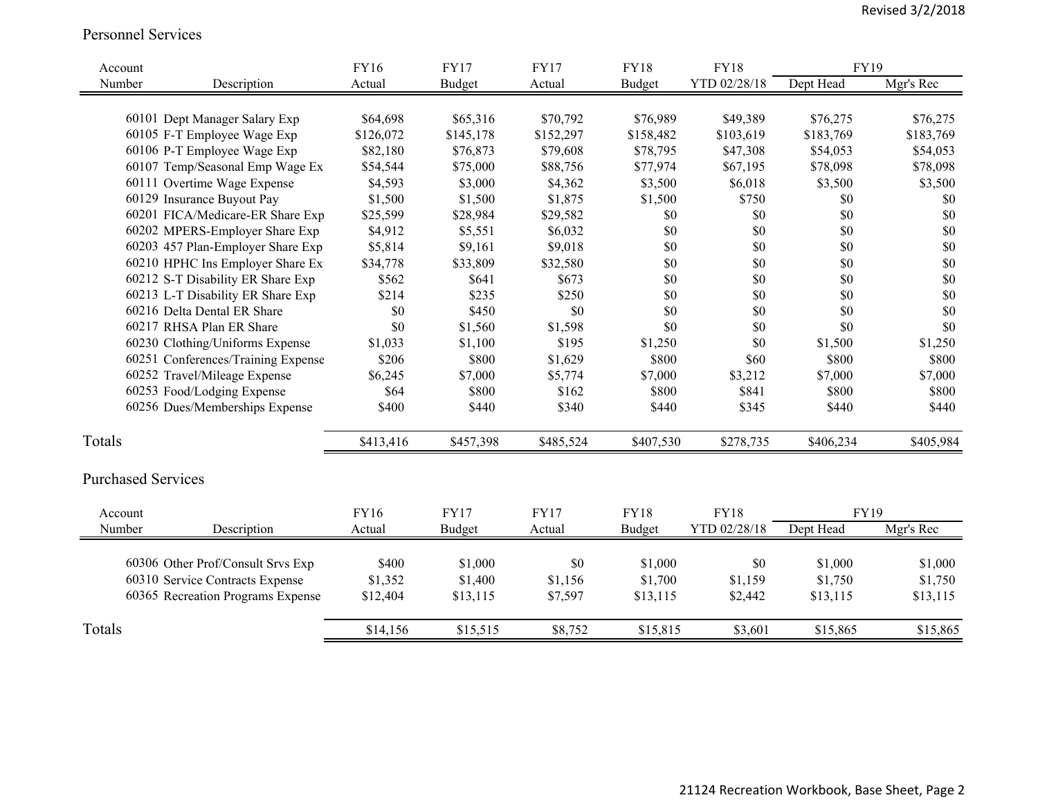#### Personnel Services

| Account                   |                                    | <b>FY16</b> | <b>FY17</b>   | <b>FY17</b> | <b>FY18</b> | <b>FY18</b>  | FY19      |           |
|---------------------------|------------------------------------|-------------|---------------|-------------|-------------|--------------|-----------|-----------|
| Number                    | Description                        | Actual      | <b>Budget</b> | Actual      | Budget      | YTD 02/28/18 | Dept Head | Mgr's Rec |
|                           |                                    |             |               |             |             |              |           |           |
|                           | 60101 Dept Manager Salary Exp      | \$64,698    | \$65,316      | \$70,792    | \$76,989    | \$49,389     | \$76,275  | \$76,275  |
|                           | 60105 F-T Employee Wage Exp        | \$126,072   | \$145,178     | \$152,297   | \$158,482   | \$103,619    | \$183,769 | \$183,769 |
|                           | 60106 P-T Employee Wage Exp        | \$82,180    | \$76,873      | \$79,608    | \$78,795    | \$47,308     | \$54,053  | \$54,053  |
|                           | 60107 Temp/Seasonal Emp Wage Ex    | \$54,544    | \$75,000      | \$88,756    | \$77,974    | \$67,195     | \$78,098  | \$78,098  |
|                           | 60111 Overtime Wage Expense        | \$4,593     | \$3,000       | \$4,362     | \$3,500     | \$6,018      | \$3,500   | \$3,500   |
|                           | 60129 Insurance Buyout Pay         | \$1,500     | \$1,500       | \$1,875     | \$1,500     | \$750        | \$0       | \$0       |
|                           | 60201 FICA/Medicare-ER Share Exp   | \$25,599    | \$28,984      | \$29,582    | \$0         | \$0          | \$0       | \$0       |
|                           | 60202 MPERS-Employer Share Exp     | \$4,912     | \$5,551       | \$6,032     | \$0         | \$0          | \$0       | \$0       |
|                           | 60203 457 Plan-Employer Share Exp  | \$5,814     | \$9,161       | \$9,018     | \$0         | \$0          | \$0       | \$0       |
|                           | 60210 HPHC Ins Employer Share Ex   | \$34,778    | \$33,809      | \$32,580    | \$0         | \$0          | \$0       | \$0       |
|                           | 60212 S-T Disability ER Share Exp  | \$562       | \$641         | \$673       | \$0         | \$0          | \$0       | \$0       |
|                           | 60213 L-T Disability ER Share Exp  | \$214       | \$235         | \$250       | \$0         | \$0          | \$0       | \$0       |
|                           | 60216 Delta Dental ER Share        | \$0         | \$450         | \$0         | \$0         | \$0          | \$0       | \$0       |
|                           | 60217 RHSA Plan ER Share           | \$0         | \$1,560       | \$1,598     | \$0         | \$0          | \$0       | \$0       |
|                           | 60230 Clothing/Uniforms Expense    | \$1,033     | \$1,100       | \$195       | \$1,250     | \$0          | \$1,500   | \$1,250   |
|                           | 60251 Conferences/Training Expense | \$206       | \$800         | \$1,629     | \$800       | \$60         | \$800     | \$800     |
|                           | 60252 Travel/Mileage Expense       | \$6,245     | \$7,000       | \$5,774     | \$7,000     | \$3,212      | \$7,000   | \$7,000   |
|                           | 60253 Food/Lodging Expense         | \$64        | \$800         | \$162       | \$800       | \$841        | \$800     | \$800     |
|                           | 60256 Dues/Memberships Expense     | \$400       | \$440         | \$340       | \$440       | \$345        | \$440     | \$440     |
| Totals                    |                                    | \$413,416   | \$457,398     | \$485,524   | \$407,530   | \$278,735    | \$406,234 | \$405,984 |
| <b>Purchased Services</b> |                                    |             |               |             |             |              |           |           |
| Account                   |                                    | FY16        | <b>FY17</b>   | <b>FY17</b> | <b>FY18</b> | <b>FY18</b>  | FY19      |           |
| Number                    | Description                        | Actual      | <b>Budget</b> | Actual      | Budget      | YTD 02/28/18 | Dept Head | Mgr's Rec |
|                           |                                    |             |               |             |             |              |           |           |
|                           | 60306 Other Prof/Consult Srvs Exp  | \$400       | \$1,000       | \$0         | \$1,000     | \$0          | \$1,000   | \$1,000   |
|                           | 60310 Service Contracts Expense    | \$1,352     | \$1,400       | \$1,156     | \$1,700     | \$1,159      | \$1,750   | \$1,750   |
|                           | 60365 Recreation Programs Expense  | \$12,404    | \$13,115      | \$7,597     | \$13,115    | \$2,442      | \$13,115  | \$13,115  |
| Totals                    |                                    | \$14,156    | \$15,515      | \$8,752     | \$15,815    | \$3,601      | \$15,865  | \$15,865  |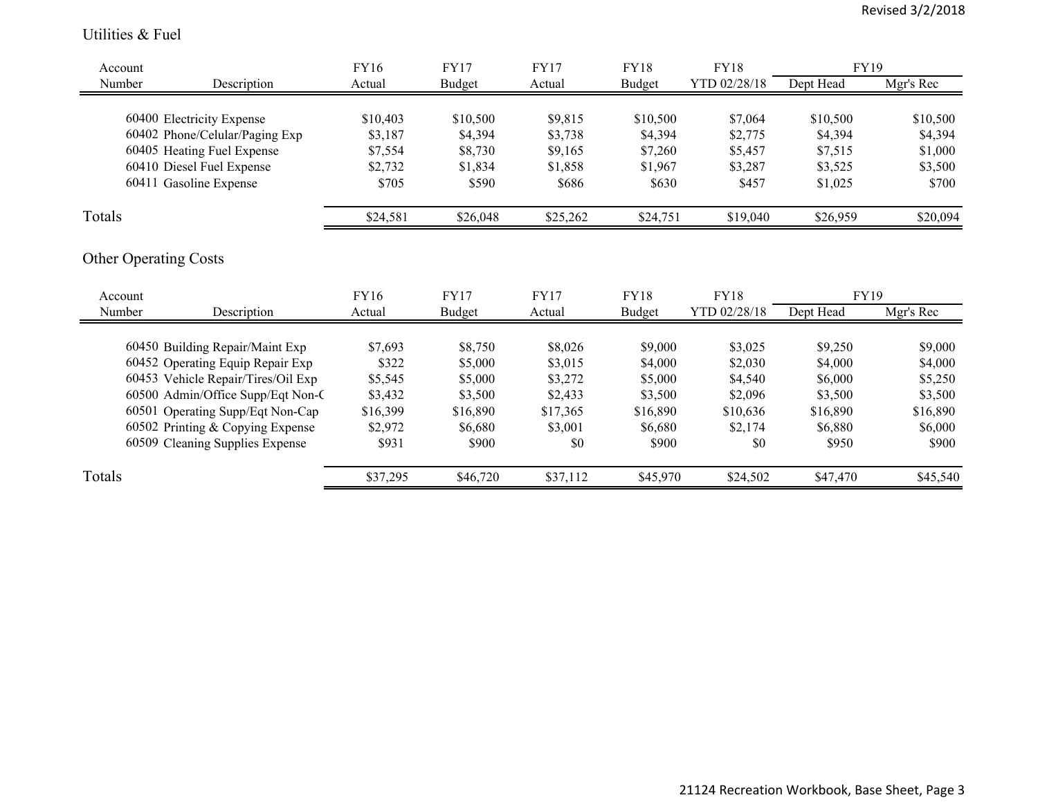#### Utilities & Fuel

| Account |                                | FY16     | FY17     | FY17     | <b>FY18</b> | <b>FY18</b>  | <b>FY19</b> |           |
|---------|--------------------------------|----------|----------|----------|-------------|--------------|-------------|-----------|
| Number  | Description                    | Actual   | Budget   | Actual   | Budget      | YTD 02/28/18 | Dept Head   | Mgr's Rec |
|         |                                |          |          |          |             |              |             |           |
|         | 60400 Electricity Expense      | \$10,403 | \$10,500 | \$9,815  | \$10,500    | \$7,064      | \$10,500    | \$10,500  |
|         | 60402 Phone/Celular/Paging Exp | \$3,187  | \$4,394  | \$3,738  | \$4,394     | \$2,775      | \$4,394     | \$4,394   |
|         | 60405 Heating Fuel Expense     | \$7,554  | \$8,730  | \$9,165  | \$7,260     | \$5,457      | \$7,515     | \$1,000   |
|         | 60410 Diesel Fuel Expense      | \$2,732  | \$1,834  | \$1,858  | \$1,967     | \$3,287      | \$3,525     | \$3,500   |
|         | 60411 Gasoline Expense         | \$705    | \$590    | \$686    | \$630       | \$457        | \$1,025     | \$700     |
| Totals  |                                | \$24,581 | \$26,048 | \$25,262 | \$24,751    | \$19,040     | \$26,959    | \$20,094  |
|         |                                |          |          |          |             |              |             |           |

## Other Operating Costs

| Account |                                    | <b>FY16</b> | <b>FY17</b> | <b>FY17</b> | FY18     | <b>FY18</b>  | <b>FY19</b> |           |
|---------|------------------------------------|-------------|-------------|-------------|----------|--------------|-------------|-----------|
| Number  | Description                        | Actual      | Budget      | Actual      | Budget   | YTD 02/28/18 | Dept Head   | Mgr's Rec |
|         |                                    |             |             |             |          |              |             |           |
|         | 60450 Building Repair/Maint Exp    | \$7,693     | \$8,750     | \$8,026     | \$9,000  | \$3,025      | \$9,250     | \$9,000   |
|         | 60452 Operating Equip Repair Exp   | \$322       | \$5,000     | \$3,015     | \$4,000  | \$2,030      | \$4,000     | \$4,000   |
|         | 60453 Vehicle Repair/Tires/Oil Exp | \$5,545     | \$5,000     | \$3,272     | \$5,000  | \$4,540      | \$6,000     | \$5,250   |
|         | 60500 Admin/Office Supp/Eqt Non-C  | \$3,432     | \$3,500     | \$2,433     | \$3,500  | \$2,096      | \$3,500     | \$3,500   |
|         | 60501 Operating Supp/Eqt Non-Cap   | \$16,399    | \$16,890    | \$17,365    | \$16,890 | \$10,636     | \$16,890    | \$16,890  |
|         | 60502 Printing & Copying Expense   | \$2,972     | \$6,680     | \$3,001     | \$6,680  | \$2,174      | \$6,880     | \$6,000   |
|         | 60509 Cleaning Supplies Expense    | \$931       | \$900       | \$0         | \$900    | \$0          | \$950       | \$900     |
| Totals  |                                    | \$37,295    | \$46,720    | \$37,112    | \$45,970 | \$24,502     | \$47,470    | \$45,540  |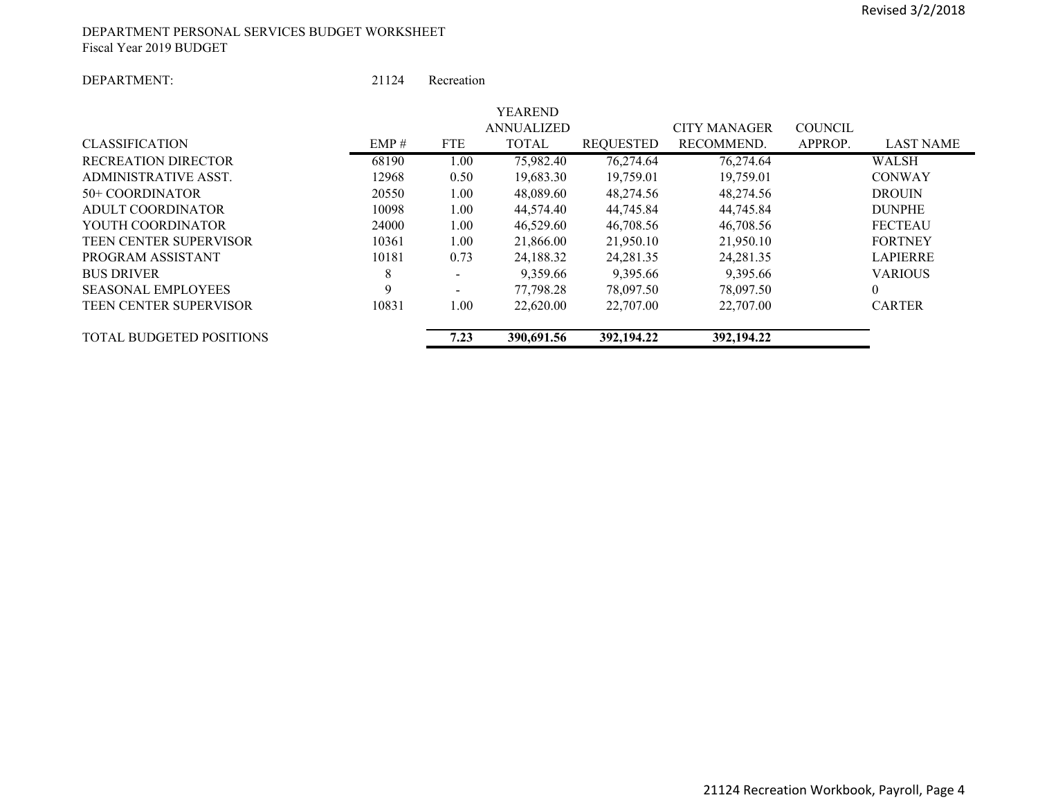#### DEPARTMENT PERSONAL SERVICES BUDGET WORKSHEET Fiscal Year 2019 BUDGET

#### DEPARTMENT:

 21124Recreation

|                                 |       |            | YEAREND           |            |                     |                             |  |
|---------------------------------|-------|------------|-------------------|------------|---------------------|-----------------------------|--|
|                                 |       |            | <b>ANNUALIZED</b> |            | <b>CITY MANAGER</b> | <b>COUNCIL</b>              |  |
| <b>CLASSIFICATION</b>           | EMP#  | <b>FTE</b> | <b>TOTAL</b>      | REQUESTED  | RECOMMEND.          | <b>LAST NAME</b><br>APPROP. |  |
| <b>RECREATION DIRECTOR</b>      | 68190 | 1.00       | 75,982.40         | 76,274.64  | 76,274.64           | WALSH                       |  |
| ADMINISTRATIVE ASST.            | 12968 | 0.50       | 19,683.30         | 19,759.01  | 19,759.01           | <b>CONWAY</b>               |  |
| 50+ COORDINATOR                 | 20550 | 1.00       | 48,089.60         | 48,274.56  | 48,274.56           | <b>DROUIN</b>               |  |
| ADULT COORDINATOR               | 10098 | 1.00       | 44,574.40         | 44,745.84  | 44,745.84           | <b>DUNPHE</b>               |  |
| YOUTH COORDINATOR               | 24000 | 1.00       | 46,529.60         | 46,708.56  | 46,708.56           | <b>FECTEAU</b>              |  |
| <b>TEEN CENTER SUPERVISOR</b>   | 10361 | 1.00       | 21,866.00         | 21,950.10  | 21,950.10           | <b>FORTNEY</b>              |  |
| PROGRAM ASSISTANT               | 10181 | 0.73       | 24,188.32         | 24,281.35  | 24,281.35           | <b>LAPIERRE</b>             |  |
| <b>BUS DRIVER</b>               | 8     |            | 9,359.66          | 9,395.66   | 9,395.66            | <b>VARIOUS</b>              |  |
| <b>SEASONAL EMPLOYEES</b>       | 9     |            | 77,798.28         | 78,097.50  | 78,097.50           | $\theta$                    |  |
| <b>TEEN CENTER SUPERVISOR</b>   | 10831 | 1.00       | 22,620.00         | 22,707.00  | 22,707.00           | <b>CARTER</b>               |  |
| <b>TOTAL BUDGETED POSITIONS</b> |       | 7.23       | 390.691.56        | 392,194.22 | 392,194.22          |                             |  |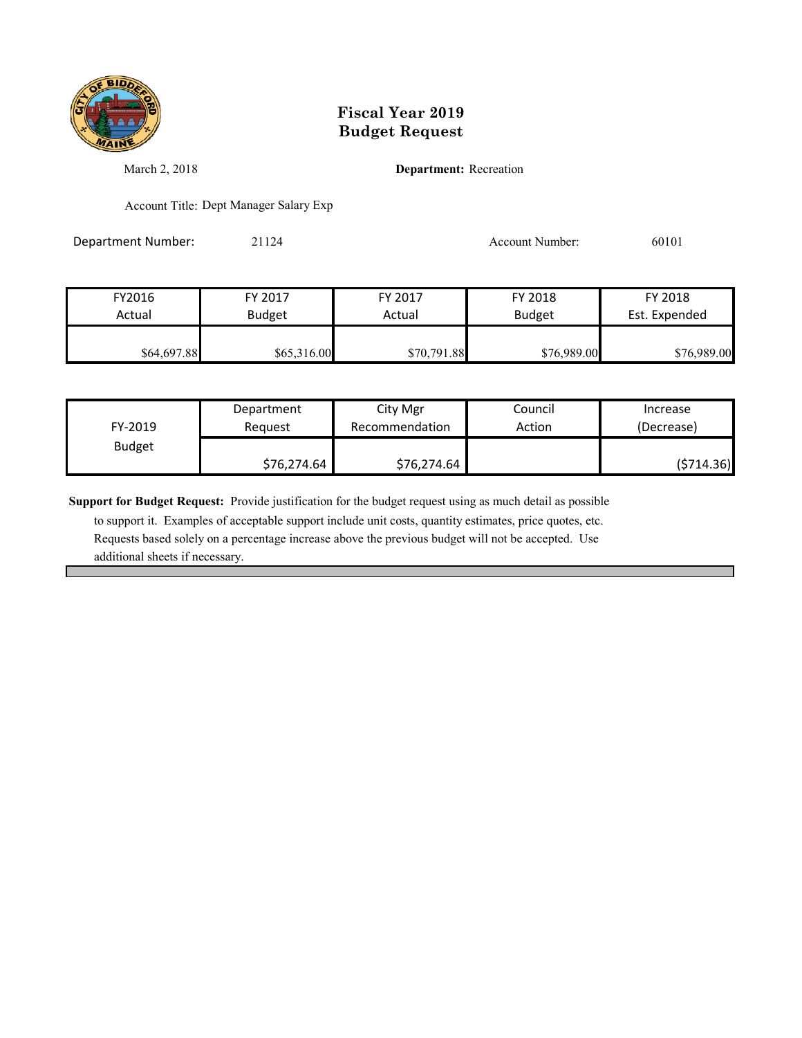

March 2, 2018 **Department:** Recreation

Account Title: Dept Manager Salary Exp

Department Number: 21124 21124 Account Number: 60101

FY2016 FY 2017 FY 2017 FY 2018 FY 2018 Actual Budget Actual Budget Est. Expended **\$64,697.88** \$65,316.00 \$70,791.88 \$76,989.00 \$76,989.00

| FY-2019       | Department  | City Mgr       | Council | Increase   |
|---------------|-------------|----------------|---------|------------|
|               | Reauest     | Recommendation | Action  | (Decrease) |
| <b>Budget</b> | \$76,274.64 | \$76,274.64    |         | (\$714.36) |

**Support for Budget Request:** Provide justification for the budget request using as much detail as possible

 to support it. Examples of acceptable support include unit costs, quantity estimates, price quotes, etc. Requests based solely on a percentage increase above the previous budget will not be accepted. Use additional sheets if necessary.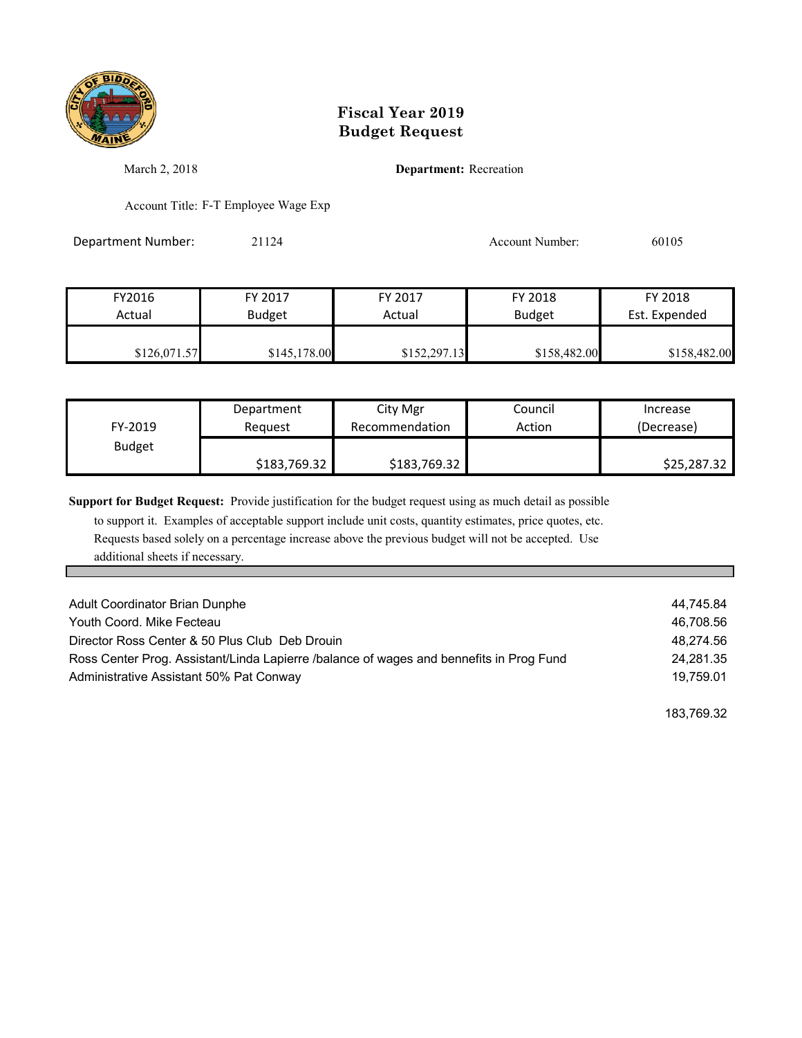

March 2, 2018 **Department:** Recreation

Account Title: F-T Employee Wage Exp

Department Number: 21124 21124 Account Number: 60105

| FY2016       | FY 2017       | FY 2017      | FY 2018       | FY 2018       |
|--------------|---------------|--------------|---------------|---------------|
| Actual       | <b>Budget</b> | Actual       | <b>Budget</b> | Est. Expended |
| \$126,071.57 | \$145,178.00  | \$152,297.13 | \$158,482.00  | \$158,482.00  |

| FY-2019       | Department   | City Mgr       | Council | Increase    |
|---------------|--------------|----------------|---------|-------------|
|               | Reauest      | Recommendation | Action  | (Decrease)  |
| <b>Budget</b> | \$183,769.32 | \$183,769.32   |         | \$25,287.32 |

**Support for Budget Request:** Provide justification for the budget request using as much detail as possible

 to support it. Examples of acceptable support include unit costs, quantity estimates, price quotes, etc. Requests based solely on a percentage increase above the previous budget will not be accepted. Use additional sheets if necessary.

| Adult Coordinator Brian Dunphe                                                          | 44.745.84 |
|-----------------------------------------------------------------------------------------|-----------|
| Youth Coord, Mike Fecteau                                                               | 46.708.56 |
| Director Ross Center & 50 Plus Club Deb Drouin                                          | 48.274.56 |
| Ross Center Prog. Assistant/Linda Lapierre /balance of wages and bennefits in Prog Fund | 24.281.35 |
| Administrative Assistant 50% Pat Conway                                                 | 19.759.01 |

183,769.32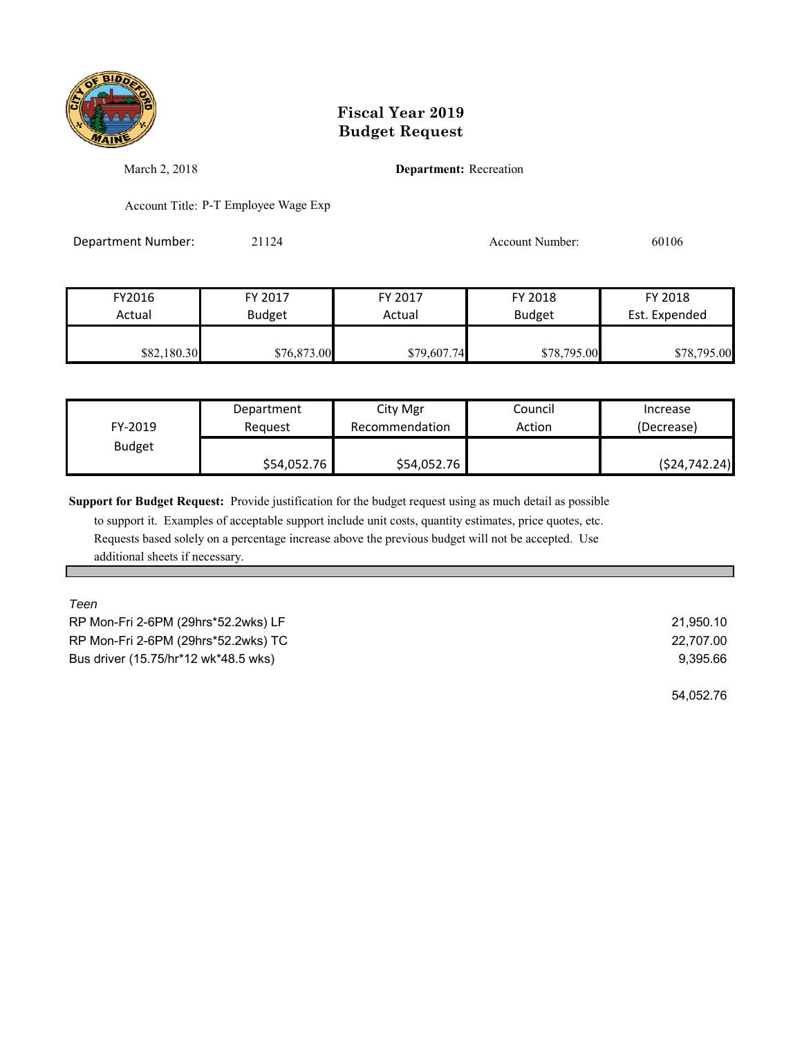

March 2, 2018 **Department:** Recreation

Account Title: P-T Employee Wage Exp

Department Number: 21124 21124 Account Number: 60106

| FY2016      | FY 2017     | FY 2017     | FY 2018       | FY 2018       |
|-------------|-------------|-------------|---------------|---------------|
| Actual      | Budget      | Actual      | <b>Budget</b> | Est. Expended |
|             |             |             |               |               |
| \$82,180.30 | \$76,873.00 | \$79,607.74 | \$78,795.00   | \$78,795.00   |

| FY-2019       | Department  | City Mgr       | Council | Increase        |
|---------------|-------------|----------------|---------|-----------------|
|               | Reauest     | Recommendation | Action  | (Decrease)      |
| <b>Budget</b> | \$54,052.76 | \$54,052.76    |         | ( \$24, 742.24) |

**Support for Budget Request:** Provide justification for the budget request using as much detail as possible

 to support it. Examples of acceptable support include unit costs, quantity estimates, price quotes, etc. Requests based solely on a percentage increase above the previous budget will not be accepted. Use additional sheets if necessary.

*Teen*  RP Mon-Fri 2-6PM (29hrs\*52.2wks) LF 21,950.10 RP Mon-Fri 2-6PM (29hrs\*52.2wks) TC 22,707.00 Bus driver (15.75/hr\*12 wk\*48.5 wks) 9,395.66

54,052.76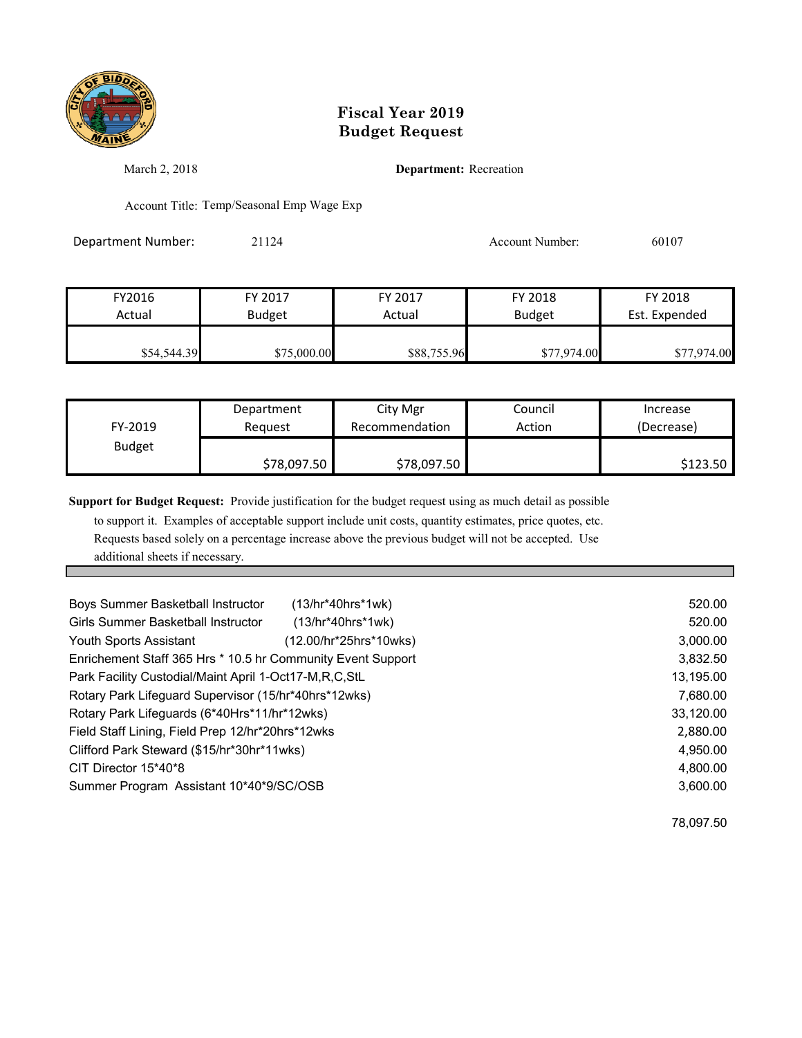

March 2, 2018 **Department:** Recreation

Account Title: Temp/Seasonal Emp Wage Exp

Department Number: 21124 21124 Account Number: 60107

| FY2016      | FY 2017       | FY 2017     | FY 2018       | FY 2018       |
|-------------|---------------|-------------|---------------|---------------|
| Actual      | <b>Budget</b> | Actual      | <b>Budget</b> | Est. Expended |
|             |               |             |               |               |
| \$54,544.39 | \$75,000.00   | \$88,755.96 | \$77,974.00   | \$77,974.00   |

| FY-2019       | Department  | City Mgr       | Council | Increase   |
|---------------|-------------|----------------|---------|------------|
|               | Reauest     | Recommendation | Action  | (Decrease) |
| <b>Budget</b> | \$78,097.50 | \$78,097.50    |         | \$123.50   |

**Support for Budget Request:** Provide justification for the budget request using as much detail as possible

 to support it. Examples of acceptable support include unit costs, quantity estimates, price quotes, etc. Requests based solely on a percentage increase above the previous budget will not be accepted. Use additional sheets if necessary.

| Boys Summer Basketball Instructor                           | $(13/hr*40hrs*1wk)$    | 520.00    |
|-------------------------------------------------------------|------------------------|-----------|
|                                                             |                        |           |
| <b>Girls Summer Basketball Instructor</b>                   | $(13/hr*40hrs*1wk)$    | 520.00    |
| <b>Youth Sports Assistant</b>                               | (12.00/hr*25hrs*10wks) | 3,000.00  |
| Enrichement Staff 365 Hrs * 10.5 hr Community Event Support |                        | 3,832.50  |
| Park Facility Custodial/Maint April 1-Oct17-M, R, C, StL    |                        | 13,195.00 |
| Rotary Park Lifeguard Supervisor (15/hr*40hrs*12wks)        |                        | 7,680.00  |
| Rotary Park Lifeguards (6*40Hrs*11/hr*12wks)                |                        | 33,120.00 |
| Field Staff Lining, Field Prep 12/hr*20hrs*12wks            |                        | 2,880.00  |
| Clifford Park Steward (\$15/hr*30hr*11wks)                  |                        | 4,950.00  |
| CIT Director 15*40*8                                        |                        | 4,800.00  |
| Summer Program Assistant 10*40*9/SC/OSB                     |                        | 3,600.00  |
|                                                             |                        |           |

78,097.50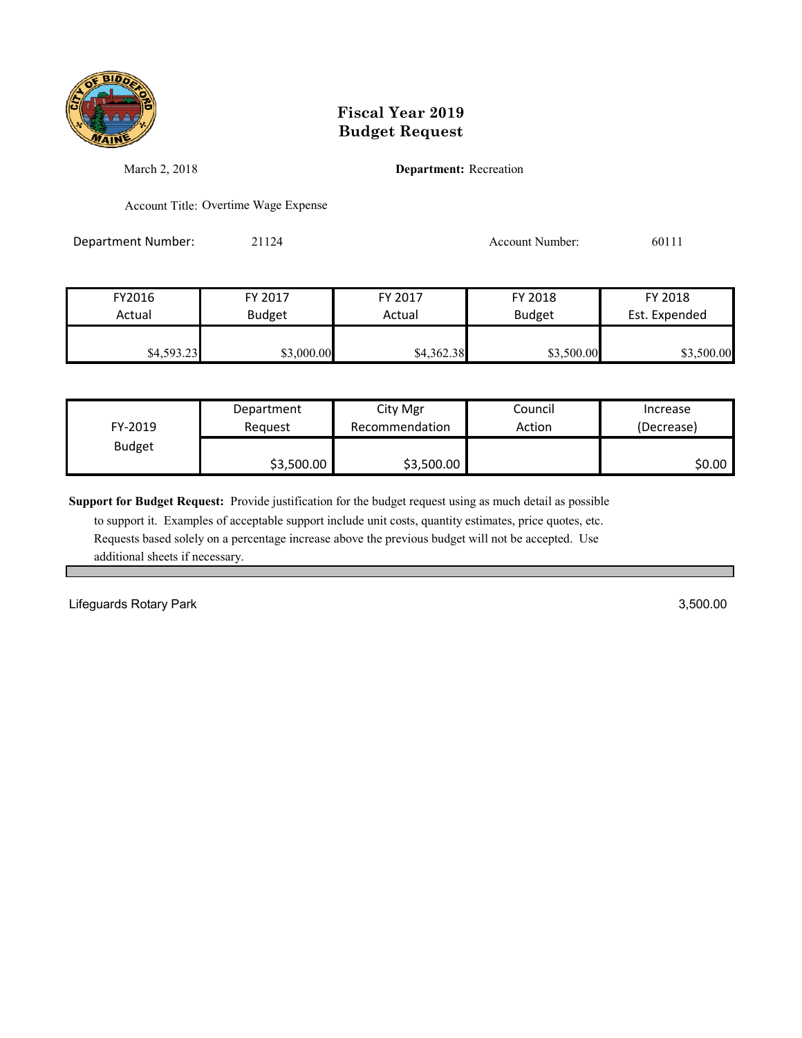

March 2, 2018 **Department:** Recreation

Account Title: Overtime Wage Expense

Department Number: 21124 21124 Account Number: 60111

| FY2016     | FY 2017       | FY 2017    | FY 2018       | FY 2018       |
|------------|---------------|------------|---------------|---------------|
| Actual     | <b>Budget</b> | Actual     | <b>Budget</b> | Est. Expended |
|            |               |            |               |               |
| \$4,593.23 | \$3,000.00    | \$4,362.38 | \$3,500.00    | \$3,500.00    |

| FY-2019       | Department | City Mgr       | Council | Increase   |
|---------------|------------|----------------|---------|------------|
|               | Reauest    | Recommendation | Action  | (Decrease) |
| <b>Budget</b> | \$3,500.00 | \$3,500.00     |         | \$0.00     |

**Support for Budget Request:** Provide justification for the budget request using as much detail as possible

 to support it. Examples of acceptable support include unit costs, quantity estimates, price quotes, etc. Requests based solely on a percentage increase above the previous budget will not be accepted. Use additional sheets if necessary.

Lifeguards Rotary Park 3,500.00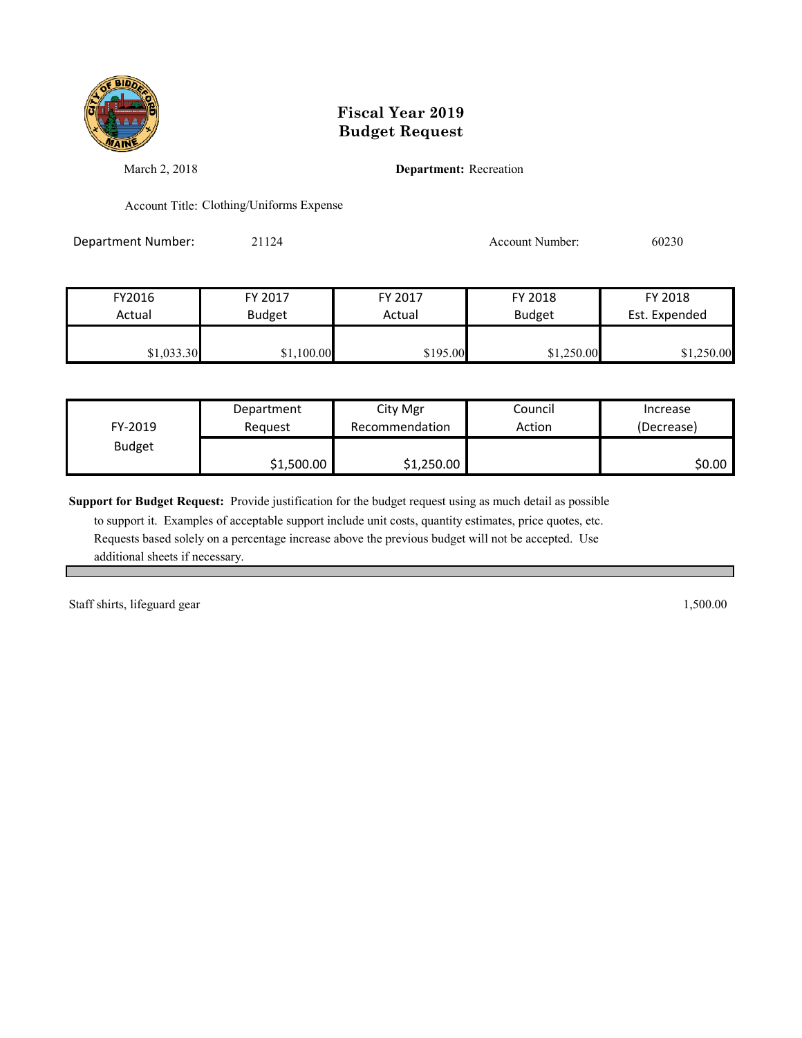

March 2, 2018 **Department:** Recreation

Account Title: Clothing/Uniforms Expense

Department Number: 21124 21124 Account Number: 60230

| FY2016     | FY 2017       | FY 2017  | FY 2018       | FY 2018       |
|------------|---------------|----------|---------------|---------------|
| Actual     | <b>Budget</b> | Actual   | <b>Budget</b> | Est. Expended |
| \$1,033.30 | \$1,100.00    | \$195.00 | \$1,250.00    | \$1,250.00    |

|               | Department | City Mgr       | Council | Increase   |
|---------------|------------|----------------|---------|------------|
| FY-2019       | Reauest    | Recommendation | Action  | (Decrease) |
| <b>Budget</b> |            |                |         |            |
|               | \$1,500.00 | \$1,250.00     |         | \$0.00     |

**Support for Budget Request:** Provide justification for the budget request using as much detail as possible

 to support it. Examples of acceptable support include unit costs, quantity estimates, price quotes, etc. Requests based solely on a percentage increase above the previous budget will not be accepted. Use additional sheets if necessary.

Staff shirts, lifeguard gear 1,500.00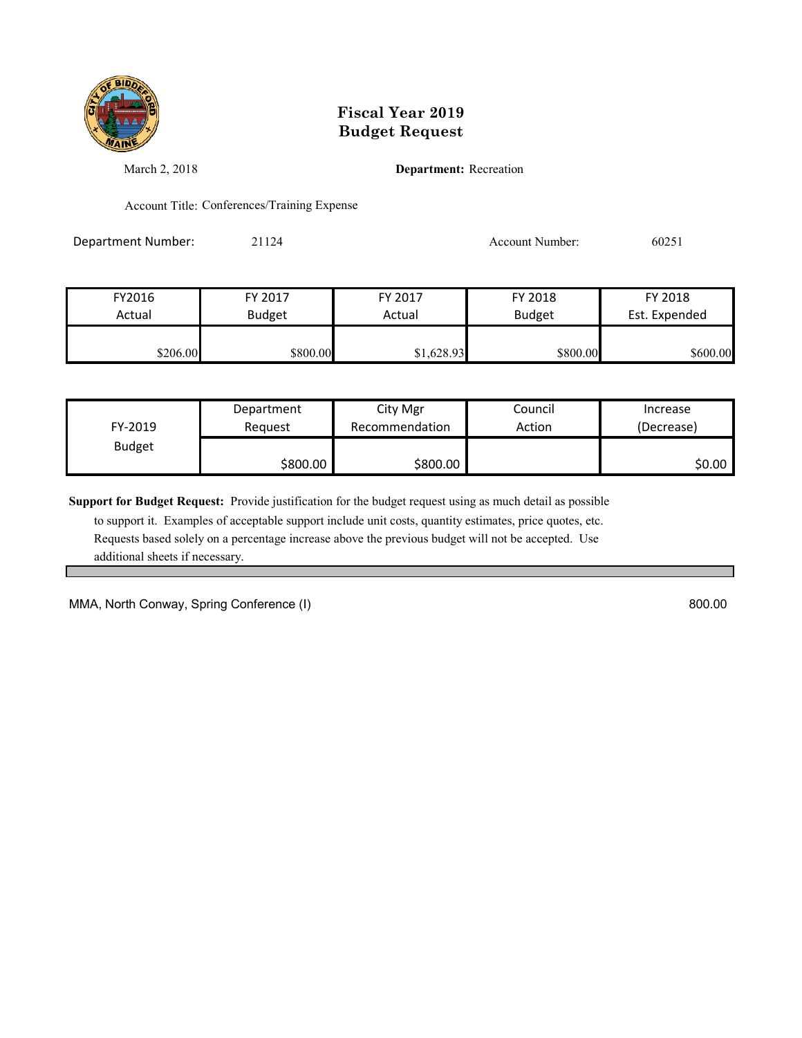

March 2, 2018 **Department:** Recreation

Account Title: Conferences/Training Expense

Department Number: 21124 21124 Account Number: 60251

| FY2016   | FY 2017       | FY 2017    | FY 2018       | FY 2018       |
|----------|---------------|------------|---------------|---------------|
| Actual   | <b>Budget</b> | Actual     | <b>Budget</b> | Est. Expended |
|          |               |            |               |               |
| \$206.00 | \$800.00      | \$1,628.93 | \$800.00      | \$600.00      |

| FY-2019       | Department | City Mgr       | Council | Increase   |
|---------------|------------|----------------|---------|------------|
|               | Reauest    | Recommendation | Action  | (Decrease) |
| <b>Budget</b> | \$800.00   | \$800.00       |         | \$0.00     |

**Support for Budget Request:** Provide justification for the budget request using as much detail as possible

 to support it. Examples of acceptable support include unit costs, quantity estimates, price quotes, etc. Requests based solely on a percentage increase above the previous budget will not be accepted. Use additional sheets if necessary.

MMA, North Conway, Spring Conference (I) 800.00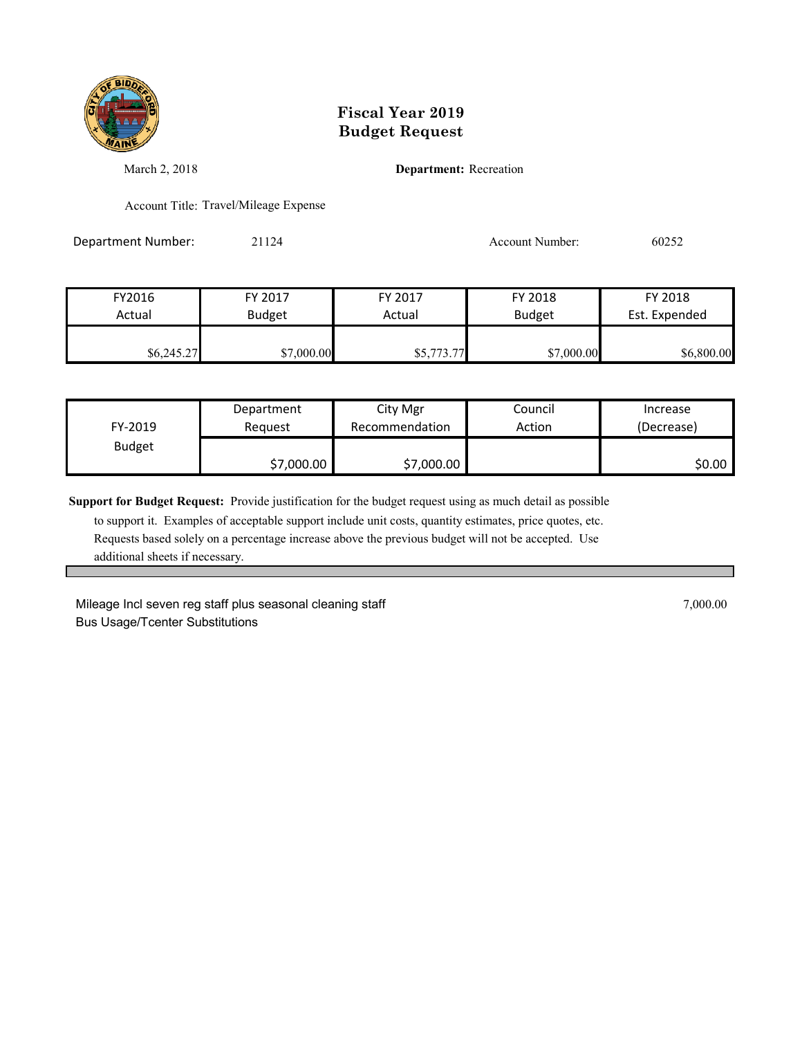

March 2, 2018 **Department:** Recreation

Account Title: Travel/Mileage Expense

Department Number: 21124 21124 Account Number: 60252

| FY2016     | FY 2017       | FY 2017    | FY 2018       | FY 2018       |
|------------|---------------|------------|---------------|---------------|
| Actual     | <b>Budget</b> | Actual     | <b>Budget</b> | Est. Expended |
| \$6,245.27 | \$7,000.00    | \$5,773.77 | \$7,000.00    | \$6,800.00    |

| FY-2019       | Department | City Mgr       | Council | Increase   |
|---------------|------------|----------------|---------|------------|
|               | Reauest    | Recommendation | Action  | (Decrease) |
| <b>Budget</b> | \$7,000.00 | \$7,000.00     |         | \$0.00     |

**Support for Budget Request:** Provide justification for the budget request using as much detail as possible

 to support it. Examples of acceptable support include unit costs, quantity estimates, price quotes, etc. Requests based solely on a percentage increase above the previous budget will not be accepted. Use additional sheets if necessary.

Mileage Incl seven reg staff plus seasonal cleaning staff **Figure 2016** 7,000.00 7,000.00 Bus Usage/Tcenter Substitutions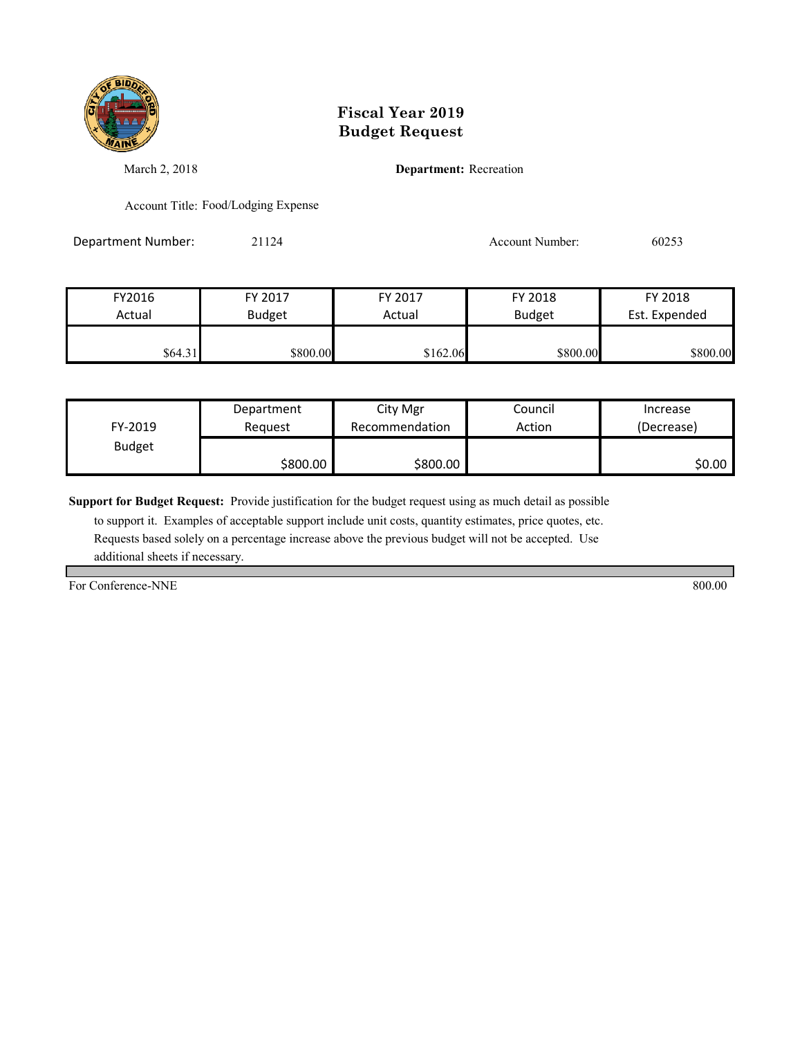

March 2, 2018 **Department:** Recreation

Account Title: Food/Lodging Expense

Department Number: 21124 21124 Account Number: 60253

| FY2016  | FY 2017       | FY 2017  | FY 2018       | FY 2018       |
|---------|---------------|----------|---------------|---------------|
| Actual  | <b>Budget</b> | Actual   | <b>Budget</b> | Est. Expended |
|         |               |          |               |               |
| \$64.31 | \$800.00      | \$162.06 | \$800.00      | \$800.00      |

|               | Department | City Mgr       | Council | Increase   |
|---------------|------------|----------------|---------|------------|
| FY-2019       | Reauest    | Recommendation | Action  | (Decrease) |
| <b>Budget</b> |            |                |         |            |
|               | \$800.00   | \$800.00       |         | \$0.00     |

**Support for Budget Request:** Provide justification for the budget request using as much detail as possible

 to support it. Examples of acceptable support include unit costs, quantity estimates, price quotes, etc. Requests based solely on a percentage increase above the previous budget will not be accepted. Use additional sheets if necessary.

For Conference-NNE 800.00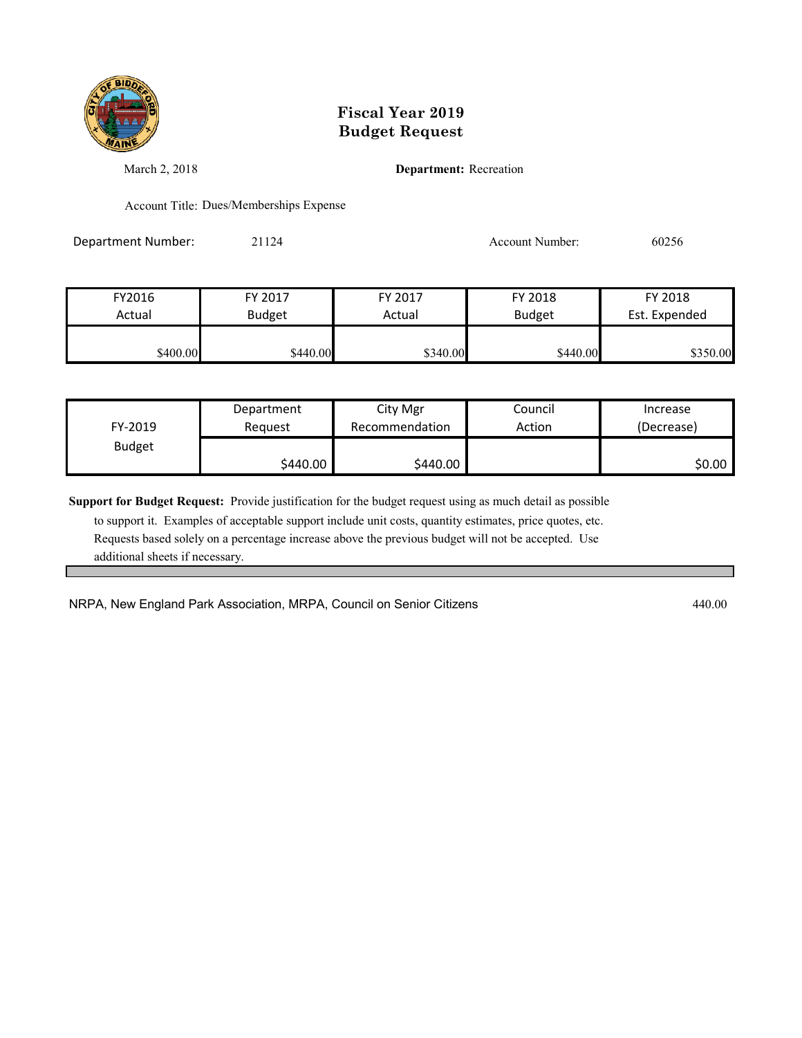

March 2, 2018 **Department:** Recreation

Account Title: Dues/Memberships Expense

Department Number: 21124 21124 Account Number: 60256

| FY2016   | FY 2017       | FY 2017  | FY 2018       | FY 2018       |
|----------|---------------|----------|---------------|---------------|
| Actual   | <b>Budget</b> | Actual   | <b>Budget</b> | Est. Expended |
|          |               |          |               |               |
| \$400.00 | \$440.00      | \$340.00 | \$440.00      | \$350.00      |

| FY-2019       | Department | City Mgr       | Council | Increase   |
|---------------|------------|----------------|---------|------------|
|               | Reauest    | Recommendation | Action  | (Decrease) |
| <b>Budget</b> | \$440.00   | \$440.00       |         | \$0.00     |

**Support for Budget Request:** Provide justification for the budget request using as much detail as possible

 to support it. Examples of acceptable support include unit costs, quantity estimates, price quotes, etc. Requests based solely on a percentage increase above the previous budget will not be accepted. Use additional sheets if necessary.

NRPA, New England Park Association, MRPA, Council on Senior Citizens 45 August 2000 440.00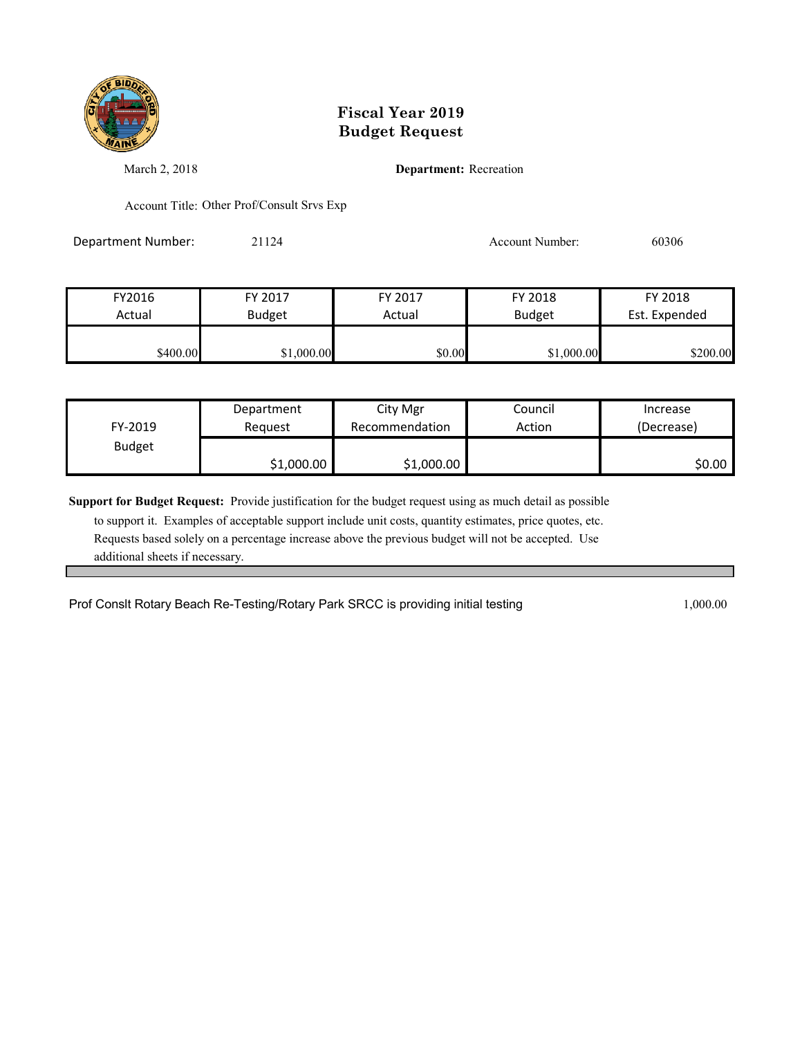

March 2, 2018 **Department:** Recreation

Account Title: Other Prof/Consult Srvs Exp

Department Number: 21124 21124 Account Number: 60306

| FY2016   | FY 2017       | FY 2017 | FY 2018       | FY 2018       |
|----------|---------------|---------|---------------|---------------|
| Actual   | <b>Budget</b> | Actual  | <b>Budget</b> | Est. Expended |
| \$400.00 | \$1,000.00    | \$0.00  | \$1,000.00    | \$200.00      |

| FY-2019       | Department | City Mgr       | Council | Increase   |
|---------------|------------|----------------|---------|------------|
|               | Reauest    | Recommendation | Action  | (Decrease) |
| <b>Budget</b> | \$1,000.00 | \$1,000.00     |         | \$0.00     |

**Support for Budget Request:** Provide justification for the budget request using as much detail as possible

 to support it. Examples of acceptable support include unit costs, quantity estimates, price quotes, etc. Requests based solely on a percentage increase above the previous budget will not be accepted. Use additional sheets if necessary.

Prof Conslt Rotary Beach Re-Testing/Rotary Park SRCC is providing initial testing 1,000.00 1,000.00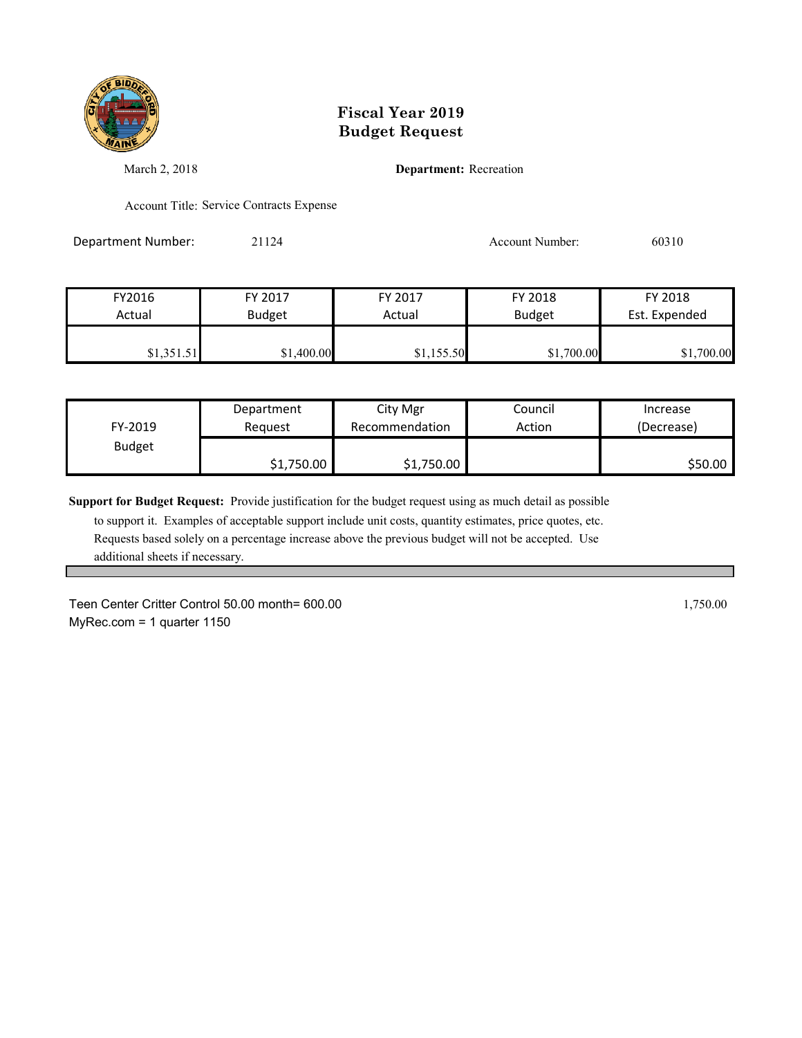

March 2, 2018 **Department:** Recreation

Account Title: Service Contracts Expense

Department Number: 21124 21124 Account Number: 60310

| FY2016     | FY 2017       | FY 2017    | FY 2018       | FY 2018       |
|------------|---------------|------------|---------------|---------------|
| Actual     | <b>Budget</b> | Actual     | <b>Budget</b> | Est. Expended |
| \$1,351.51 | \$1,400.00    | \$1,155.50 | \$1,700.00    | \$1,700.00    |

| FY-2019       | Department | City Mgr       | Council | Increase   |
|---------------|------------|----------------|---------|------------|
|               | Reauest    | Recommendation | Action  | (Decrease) |
| <b>Budget</b> | \$1,750.00 | \$1,750.00     |         | \$50.00    |

**Support for Budget Request:** Provide justification for the budget request using as much detail as possible

 to support it. Examples of acceptable support include unit costs, quantity estimates, price quotes, etc. Requests based solely on a percentage increase above the previous budget will not be accepted. Use additional sheets if necessary.

Teen Center Critter Control 50.00 month= 600.00 1,750.00 1,750.00 MyRec.com = 1 quarter 1150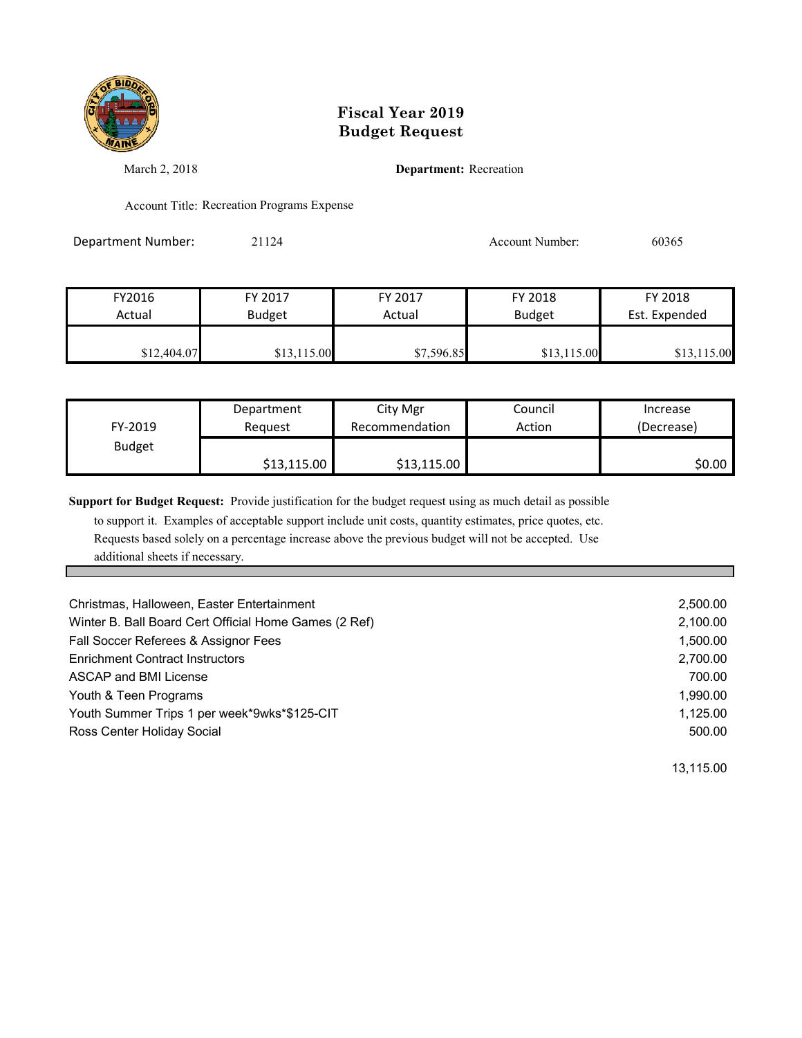

March 2, 2018 **Department:** Recreation

Account Title: Recreation Programs Expense

Department Number: 21124 21124 Account Number: 60365

| FY2016      | FY 2017       | FY 2017    | FY 2018     | FY 2018       |
|-------------|---------------|------------|-------------|---------------|
| Actual      | <b>Budget</b> | Actual     | Budget      | Est. Expended |
| \$12,404.07 | \$13,115.00   | \$7,596.85 | \$13,115.00 | \$13,115.00   |

|               | Department  | City Mgr       | Council | Increase   |
|---------------|-------------|----------------|---------|------------|
| FY-2019       | Reauest     | Recommendation | Action  | (Decrease) |
| <b>Budget</b> |             |                |         |            |
|               | \$13,115.00 | \$13,115.00    |         | \$0.00∣    |

**Support for Budget Request:** Provide justification for the budget request using as much detail as possible

 to support it. Examples of acceptable support include unit costs, quantity estimates, price quotes, etc. Requests based solely on a percentage increase above the previous budget will not be accepted. Use additional sheets if necessary.

| Christmas, Halloween, Easter Entertainment            | 2,500.00 |
|-------------------------------------------------------|----------|
| Winter B. Ball Board Cert Official Home Games (2 Ref) | 2,100.00 |
| Fall Soccer Referees & Assignor Fees                  | 1,500.00 |
| <b>Enrichment Contract Instructors</b>                | 2,700.00 |
| ASCAP and BMI License                                 | 700.00   |
| Youth & Teen Programs                                 | 1.990.00 |
| Youth Summer Trips 1 per week*9wks*\$125-CIT          | 1,125.00 |
| Ross Center Holiday Social                            | 500.00   |

13,115.00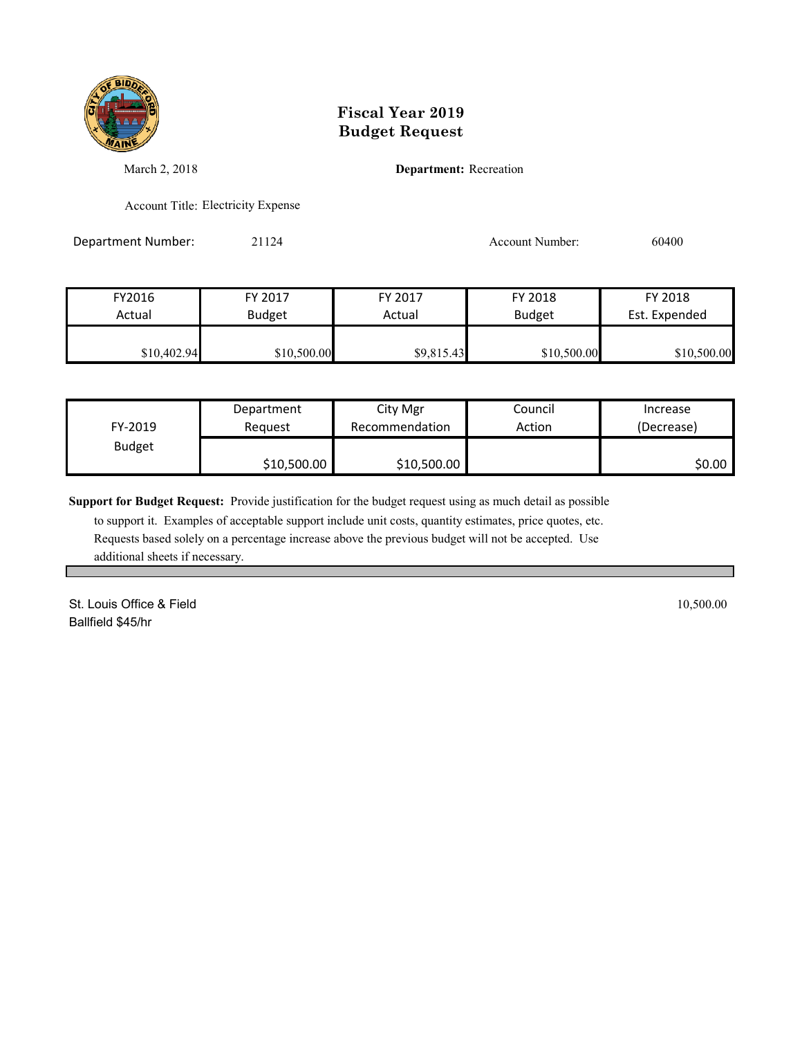

March 2, 2018 **Department:** Recreation

Account Title: Electricity Expense

Department Number: 21124 21124 Account Number: 60400

FY2016 FY 2017 FY 2017 FY 2018 FY 2018 Actual Budget | Actual Budget Est. Expended \$10,402.94 \$10,500.00 \$9,815.43 \$10,500.00 \$10,500.00

| FY-2019       | Department  | City Mgr       | Council | Increase   |
|---------------|-------------|----------------|---------|------------|
|               | Reauest     | Recommendation | Action  | (Decrease) |
| <b>Budget</b> | \$10,500.00 | \$10,500.00    |         | \$0.00     |

**Support for Budget Request:** Provide justification for the budget request using as much detail as possible

 to support it. Examples of acceptable support include unit costs, quantity estimates, price quotes, etc. Requests based solely on a percentage increase above the previous budget will not be accepted. Use additional sheets if necessary.

St. Louis Office & Field 10,500.00 Ballfield \$45/hr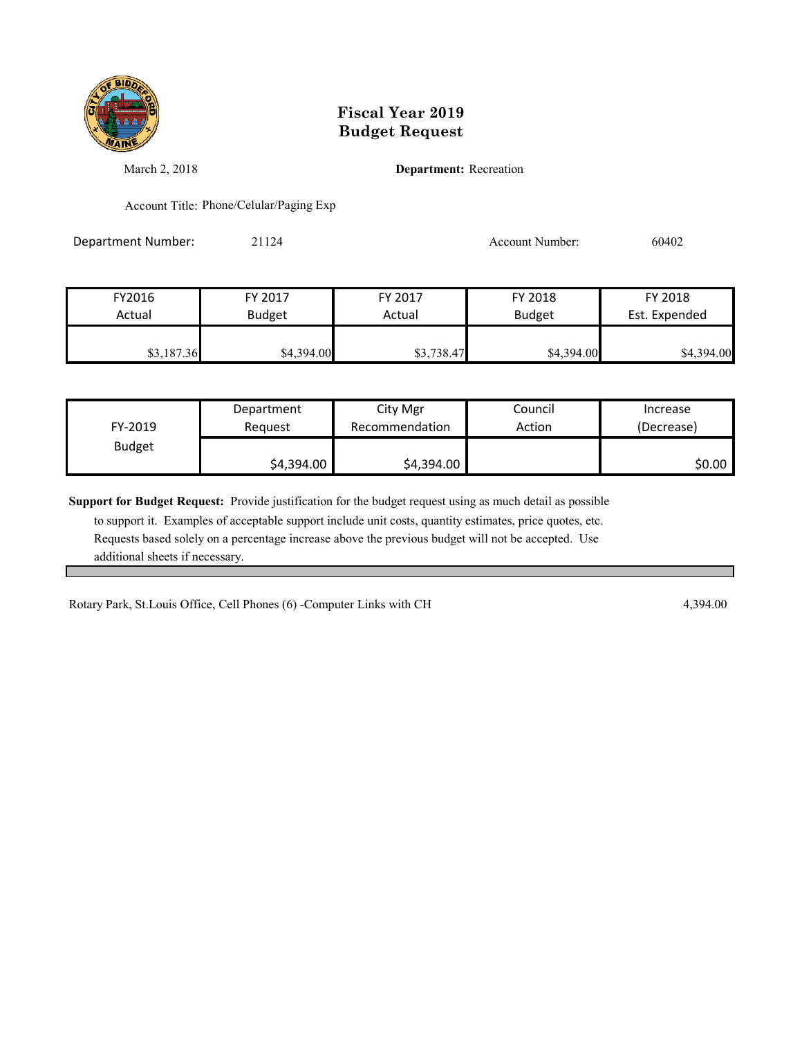

March 2, 2018 **Department:** Recreation

Account Title: Phone/Celular/Paging Exp

Department Number: 21124 21124 Account Number: 60402

FY2016 FY 2017 FY 2017 FY 2018 FY 2018 Actual **Budget Actual Budget Est. Expended \$3,187.36** \$4,394.00 \$4,394.00 \$4,394.00 \$4,394.00

| FY-2019       | Department | City Mgr       | Council | Increase   |
|---------------|------------|----------------|---------|------------|
|               | Reguest    | Recommendation | Action  | (Decrease) |
| <b>Budget</b> | \$4,394.00 | \$4,394.00     |         | \$0.00     |

**Support for Budget Request:** Provide justification for the budget request using as much detail as possible

 to support it. Examples of acceptable support include unit costs, quantity estimates, price quotes, etc. Requests based solely on a percentage increase above the previous budget will not be accepted. Use additional sheets if necessary.

Rotary Park, St.Louis Office, Cell Phones (6) -Computer Links with CH 4,394.00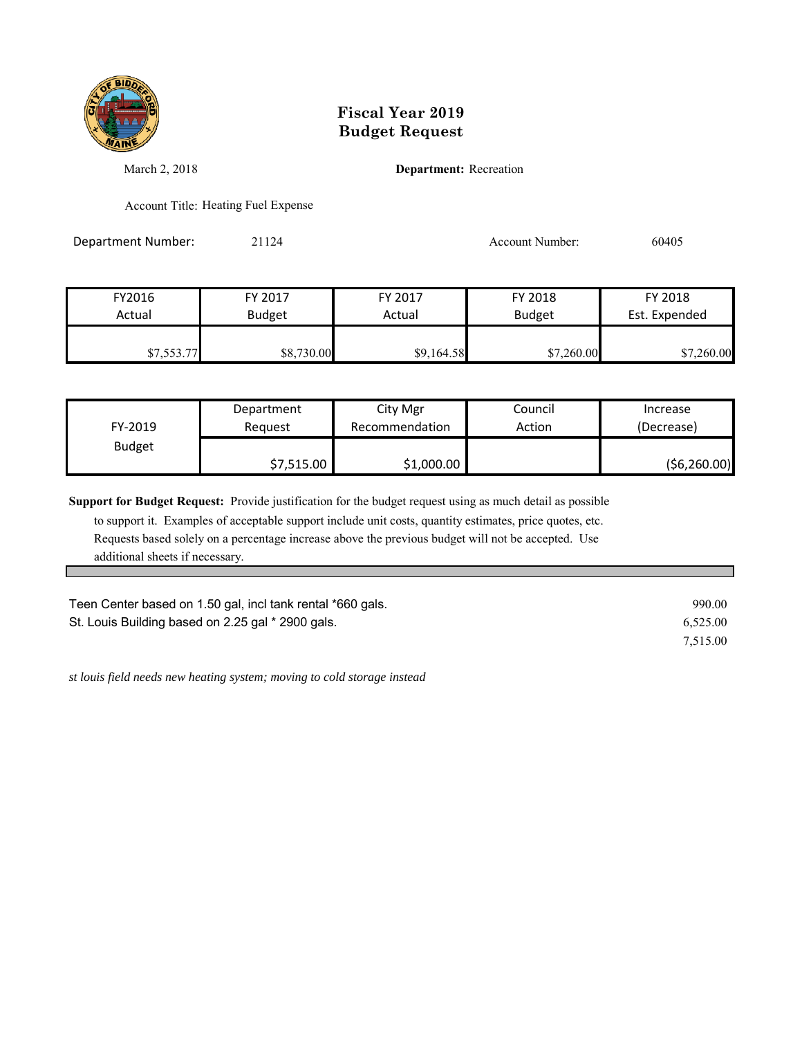

March 2, 2018 **Department:** Recreation

Account Title: Heating Fuel Expense

Department Number: 21124 21124 Account Number: 60405

| FY2016     | FY 2017       | FY 2017    | FY 2018       | FY 2018       |
|------------|---------------|------------|---------------|---------------|
| Actual     | <b>Budget</b> | Actual     | <b>Budget</b> | Est. Expended |
|            |               |            |               |               |
| \$7,553.77 | \$8,730.00    | \$9,164.58 | \$7,260.00    | \$7,260.00    |

| FY-2019       | Department | City Mgr       | Council | Increase       |
|---------------|------------|----------------|---------|----------------|
|               | Reauest    | Recommendation | Action  | (Decrease)     |
| <b>Budget</b> | \$7,515.00 | \$1,000.00     |         | ( \$6, 260.00) |

**Support for Budget Request:** Provide justification for the budget request using as much detail as possible

 to support it. Examples of acceptable support include unit costs, quantity estimates, price quotes, etc. Requests based solely on a percentage increase above the previous budget will not be accepted. Use additional sheets if necessary.

| Teen Center based on 1.50 gal, incl tank rental *660 gals. | 990.00   |
|------------------------------------------------------------|----------|
| St. Louis Building based on 2.25 gal * 2900 gals.          | 6.525.00 |
|                                                            | 7.515.00 |

*st louis field needs new heating system; moving to cold storage instead*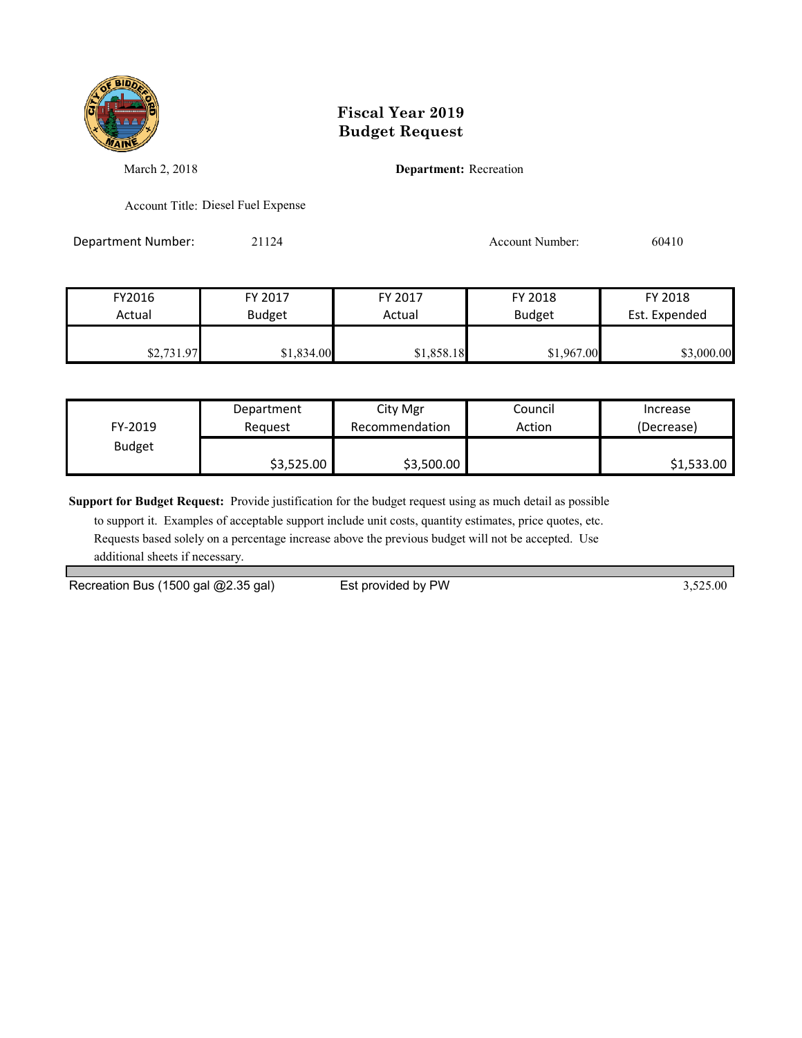

March 2, 2018 **Department:** Recreation

Account Title: Diesel Fuel Expense

Department Number: 21124 21124 Account Number: 60410

| FY2016     | FY 2017       | FY 2017    | FY 2018       | FY 2018       |
|------------|---------------|------------|---------------|---------------|
| Actual     | <b>Budget</b> | Actual     | <b>Budget</b> | Est. Expended |
|            |               |            |               |               |
| \$2,731.97 | \$1,834.00    | \$1,858.18 | \$1,967.00    | \$3,000.00    |

|               | Department | City Mgr       | Council | Increase   |
|---------------|------------|----------------|---------|------------|
| FY-2019       | Reauest    | Recommendation | Action  | (Decrease) |
| <b>Budget</b> |            |                |         |            |
|               | \$3,525.00 | \$3,500.00     |         | \$1,533.00 |

**Support for Budget Request:** Provide justification for the budget request using as much detail as possible

 to support it. Examples of acceptable support include unit costs, quantity estimates, price quotes, etc. Requests based solely on a percentage increase above the previous budget will not be accepted. Use additional sheets if necessary.

Recreation Bus (1500 gal @2.35 gal) Est provided by PW 3,525.00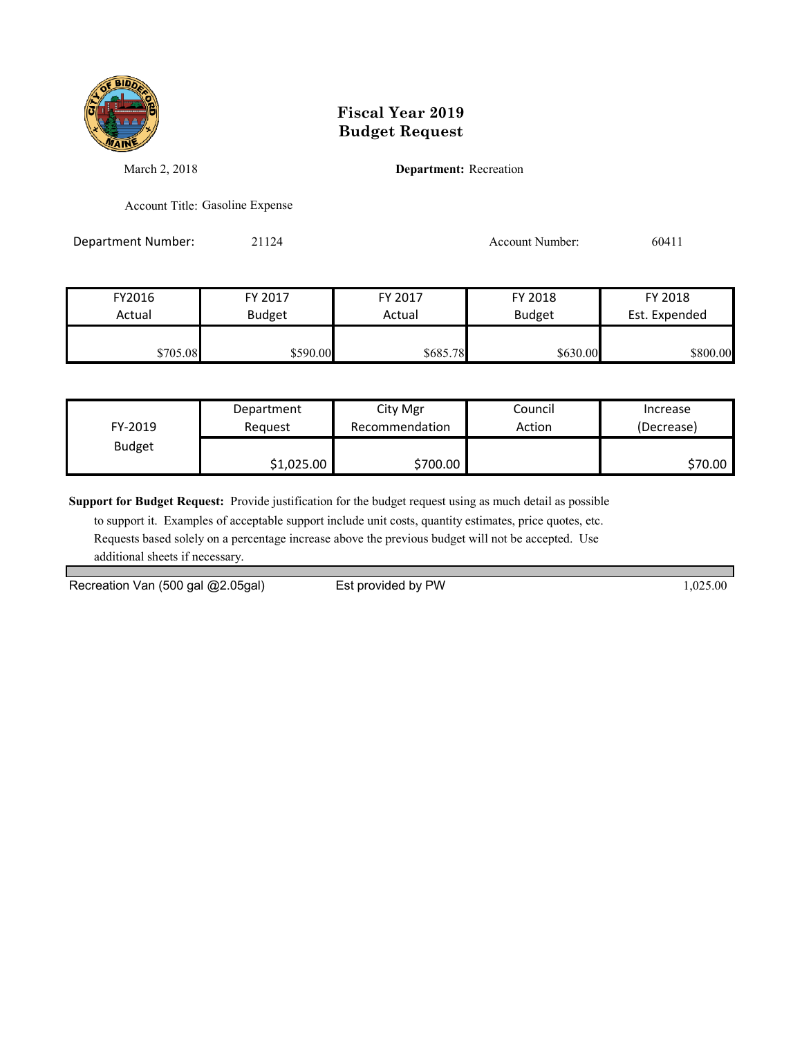

March 2, 2018 **Department:** Recreation

Account Title: Gasoline Expense

Department Number: 21124 21124 Account Number: 60411

| FY2016   | FY 2017       | FY 2017  | FY 2018       | FY 2018       |
|----------|---------------|----------|---------------|---------------|
| Actual   | <b>Budget</b> | Actual   | <b>Budget</b> | Est. Expended |
| \$705.08 | \$590.00      | \$685.78 | \$630.00      | \$800.00      |

|               | Department | City Mgr       | Council | Increase   |
|---------------|------------|----------------|---------|------------|
| FY-2019       | Reauest    | Recommendation | Action  | (Decrease) |
| <b>Budget</b> |            |                |         |            |
|               | \$1,025.00 | \$700.00       |         | \$70.00    |

**Support for Budget Request:** Provide justification for the budget request using as much detail as possible

 to support it. Examples of acceptable support include unit costs, quantity estimates, price quotes, etc. Requests based solely on a percentage increase above the previous budget will not be accepted. Use additional sheets if necessary.

Recreation Van (500 gal @2.05gal) Est provided by PW 1,025.00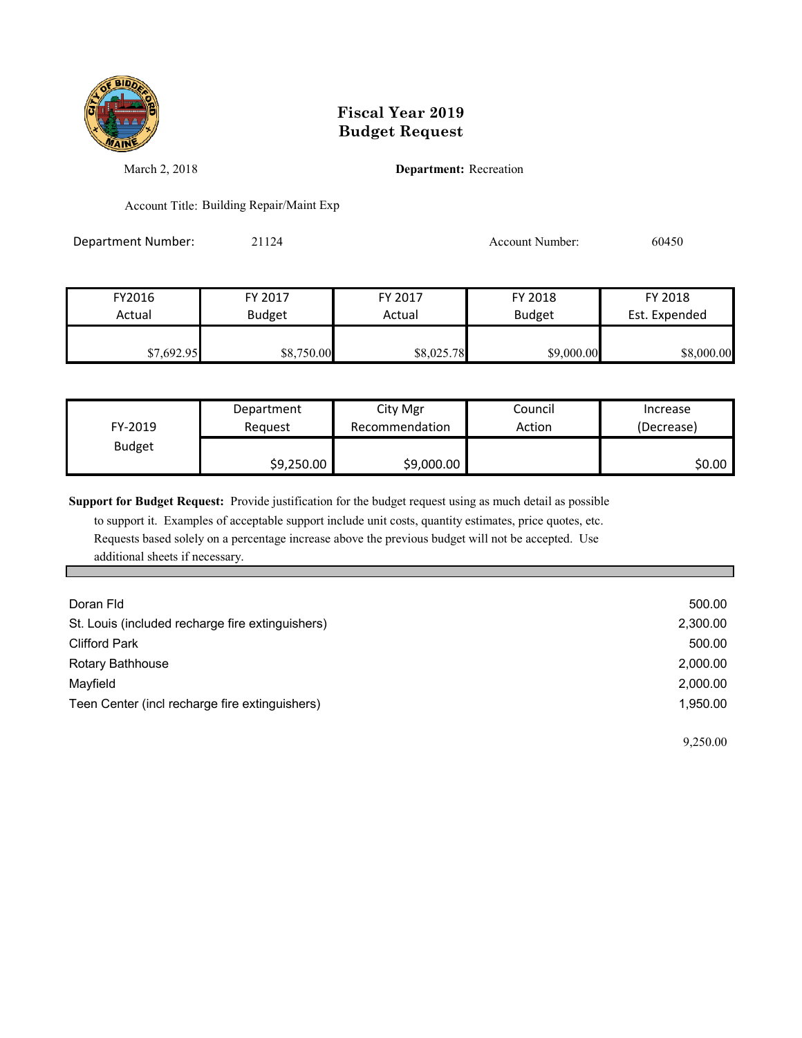

March 2, 2018 **Department:** Recreation

Account Title: Building Repair/Maint Exp

Department Number: 21124 21124 Account Number: 60450

| FY2016     | FY 2017       | FY 2017    | FY 2018       | FY 2018       |
|------------|---------------|------------|---------------|---------------|
| Actual     | <b>Budget</b> | Actual     | <b>Budget</b> | Est. Expended |
| \$7,692.95 | \$8,750.00    | \$8,025.78 | \$9,000.00    | \$8,000.00    |

| FY-2019       | Department | City Mgr       | Council | Increase   |
|---------------|------------|----------------|---------|------------|
|               | Reauest    | Recommendation | Action  | (Decrease) |
| <b>Budget</b> | \$9,250.00 | \$9,000.00     |         | \$0.00     |

**Support for Budget Request:** Provide justification for the budget request using as much detail as possible

 to support it. Examples of acceptable support include unit costs, quantity estimates, price quotes, etc. Requests based solely on a percentage increase above the previous budget will not be accepted. Use additional sheets if necessary.

| Doran Fld                                        | 500.00   |
|--------------------------------------------------|----------|
| St. Louis (included recharge fire extinguishers) | 2,300.00 |
| <b>Clifford Park</b>                             | 500.00   |
| Rotary Bathhouse                                 | 2,000.00 |
| Mayfield                                         | 2,000.00 |
| Teen Center (incl recharge fire extinguishers)   | 1.950.00 |

9,250.00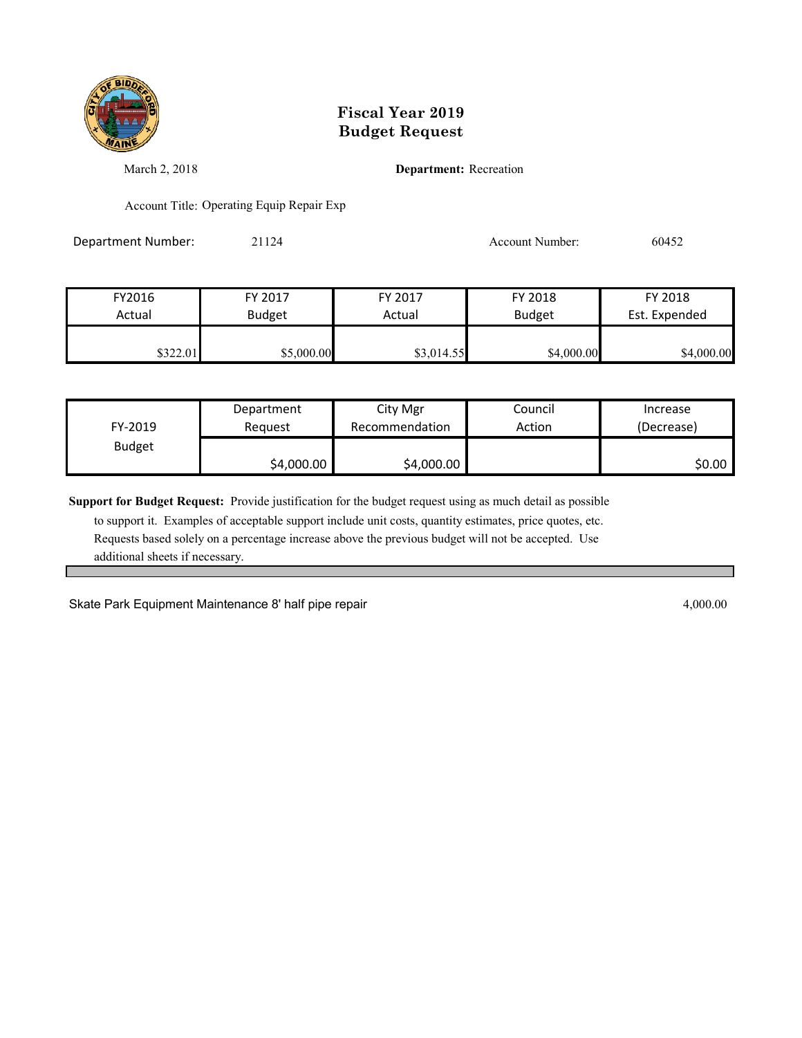

March 2, 2018 **Department:** Recreation

Account Title: Operating Equip Repair Exp

Department Number: 21124 21124 Account Number: 60452

| FY2016   | FY 2017       | FY 2017    | FY 2018       | FY 2018       |
|----------|---------------|------------|---------------|---------------|
| Actual   | <b>Budget</b> | Actual     | <b>Budget</b> | Est. Expended |
|          |               |            |               |               |
| 8322.011 | \$5,000.00    | \$3,014.55 | \$4,000.00    | \$4,000.00    |

| FY-2019       | Department | City Mgr       | Council | Increase   |
|---------------|------------|----------------|---------|------------|
|               | Reauest    | Recommendation | Action  | (Decrease) |
| <b>Budget</b> | \$4,000.00 | \$4,000.00     |         | \$0.00     |

**Support for Budget Request:** Provide justification for the budget request using as much detail as possible

 to support it. Examples of acceptable support include unit costs, quantity estimates, price quotes, etc. Requests based solely on a percentage increase above the previous budget will not be accepted. Use additional sheets if necessary.

Skate Park Equipment Maintenance 8' half pipe repair 4,000.00 and 4,000.00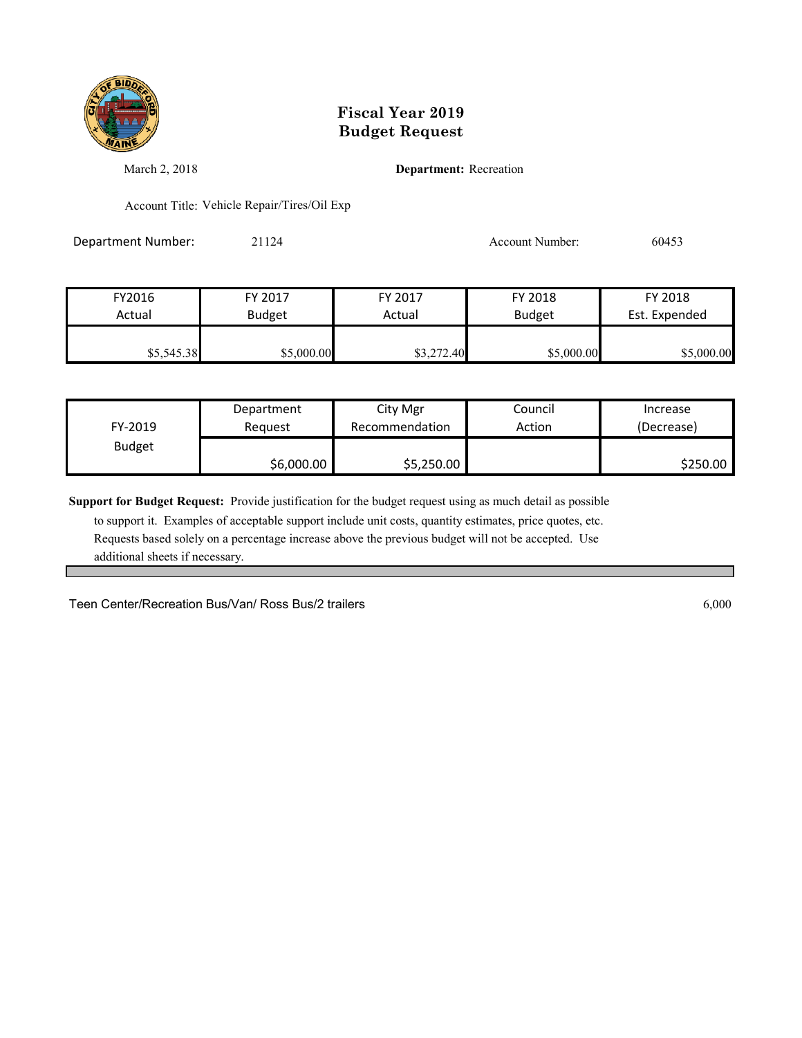

March 2, 2018 **Department:** Recreation

Account Title: Vehicle Repair/Tires/Oil Exp

Department Number: 21124 21124 Account Number: 60453

| FY2016     | FY 2017       | FY 2017    | FY 2018       | FY 2018       |
|------------|---------------|------------|---------------|---------------|
| Actual     | <b>Budget</b> | Actual     | <b>Budget</b> | Est. Expended |
| \$5,545.38 | \$5,000.00    | \$3,272.40 | \$5,000.00    | \$5,000.00    |

| FY-2019       | Department | City Mgr       | Council | Increase   |
|---------------|------------|----------------|---------|------------|
|               | Reauest    | Recommendation | Action  | (Decrease) |
| <b>Budget</b> | \$6,000.00 | \$5,250.00     |         | \$250.00   |

**Support for Budget Request:** Provide justification for the budget request using as much detail as possible

 to support it. Examples of acceptable support include unit costs, quantity estimates, price quotes, etc. Requests based solely on a percentage increase above the previous budget will not be accepted. Use additional sheets if necessary.

Teen Center/Recreation Bus/Van/ Ross Bus/2 trailers 6,000 6,000 6,000 6,000 6,000 6,000 6,000 6,000 6,000 6,000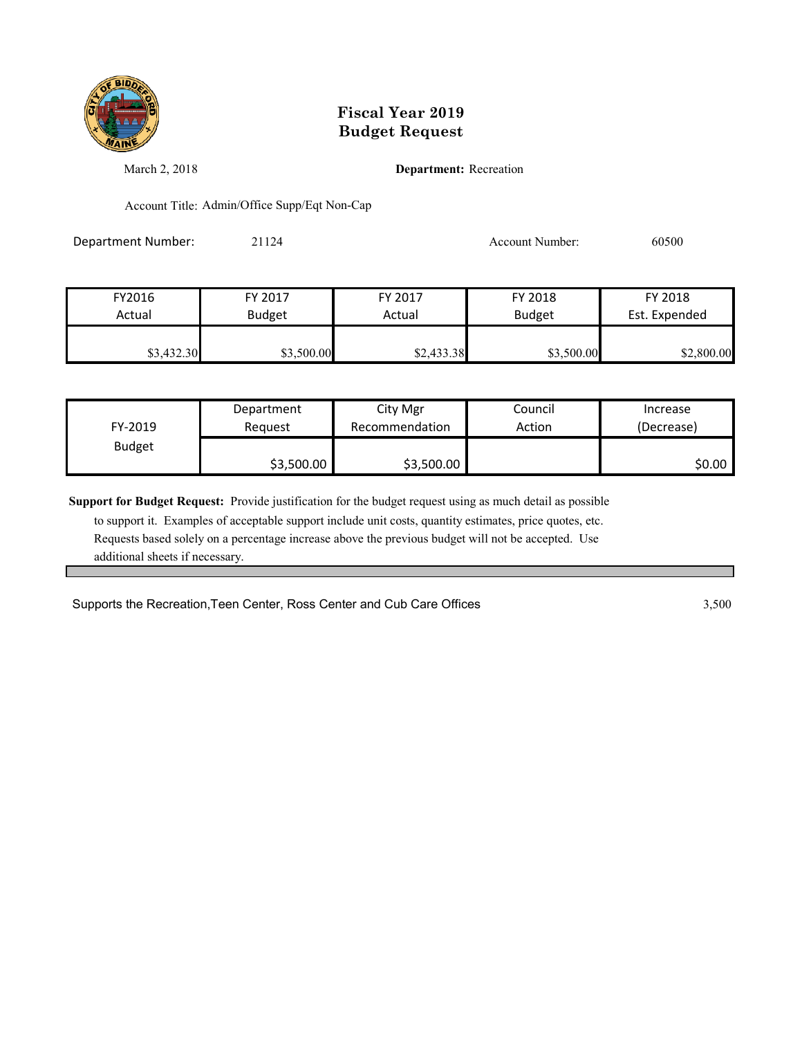

March 2, 2018 **Department:** Recreation

Account Title: Admin/Office Supp/Eqt Non-Cap

Department Number: 21124 21124 Account Number: 60500

| FY2016     | FY 2017       | FY 2017    | FY 2018       | FY 2018       |
|------------|---------------|------------|---------------|---------------|
| Actual     | <b>Budget</b> | Actual     | <b>Budget</b> | Est. Expended |
|            |               |            |               |               |
| \$3,432.30 | \$3,500.00    | \$2,433.38 | \$3,500.00    | \$2,800.00    |

| FY-2019       | Department | City Mgr       | Council | Increase   |
|---------------|------------|----------------|---------|------------|
|               | Reauest    | Recommendation | Action  | (Decrease) |
| <b>Budget</b> | \$3,500.00 | \$3,500.00     |         | \$0.00     |

**Support for Budget Request:** Provide justification for the budget request using as much detail as possible

 to support it. Examples of acceptable support include unit costs, quantity estimates, price quotes, etc. Requests based solely on a percentage increase above the previous budget will not be accepted. Use additional sheets if necessary.

Supports the Recreation, Teen Center, Ross Center and Cub Care Offices 3,500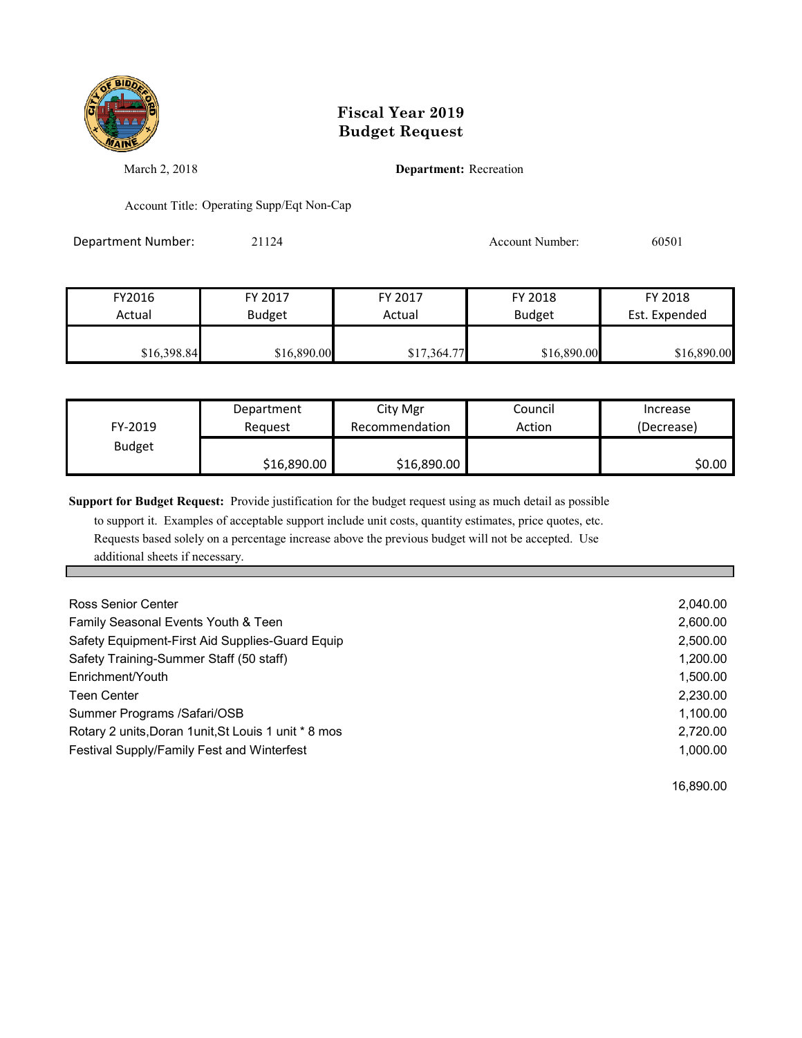

March 2, 2018 **Department:** Recreation

Account Title: Operating Supp/Eqt Non-Cap

Department Number: 21124 21124 Account Number: 60501

| FY2016      | FY 2017       | FY 2017     | FY 2018       | FY 2018       |
|-------------|---------------|-------------|---------------|---------------|
| Actual      | <b>Budget</b> | Actual      | <b>Budget</b> | Est. Expended |
|             |               |             |               |               |
| \$16,398.84 | \$16,890.00   | \$17,364.77 | \$16,890.00   | \$16,890.00   |

| FY-2019       | Department  | City Mgr       | Council | Increase   |
|---------------|-------------|----------------|---------|------------|
|               | Reauest     | Recommendation | Action  | (Decrease) |
| <b>Budget</b> | \$16,890.00 | \$16,890.00    |         | \$0.00     |

**Support for Budget Request:** Provide justification for the budget request using as much detail as possible

 to support it. Examples of acceptable support include unit costs, quantity estimates, price quotes, etc. Requests based solely on a percentage increase above the previous budget will not be accepted. Use additional sheets if necessary.

| Ross Senior Center                                    | 2,040.00 |
|-------------------------------------------------------|----------|
| Family Seasonal Events Youth & Teen                   | 2,600.00 |
| Safety Equipment-First Aid Supplies-Guard Equip       | 2,500.00 |
| Safety Training-Summer Staff (50 staff)               | 1,200.00 |
| Enrichment/Youth                                      | 1,500.00 |
| <b>Teen Center</b>                                    | 2,230.00 |
| Summer Programs /Safari/OSB                           | 1,100.00 |
| Rotary 2 units, Doran 1 unit, St Louis 1 unit * 8 mos | 2,720.00 |
| Festival Supply/Family Fest and Winterfest            | 1.000.00 |
|                                                       |          |

16,890.00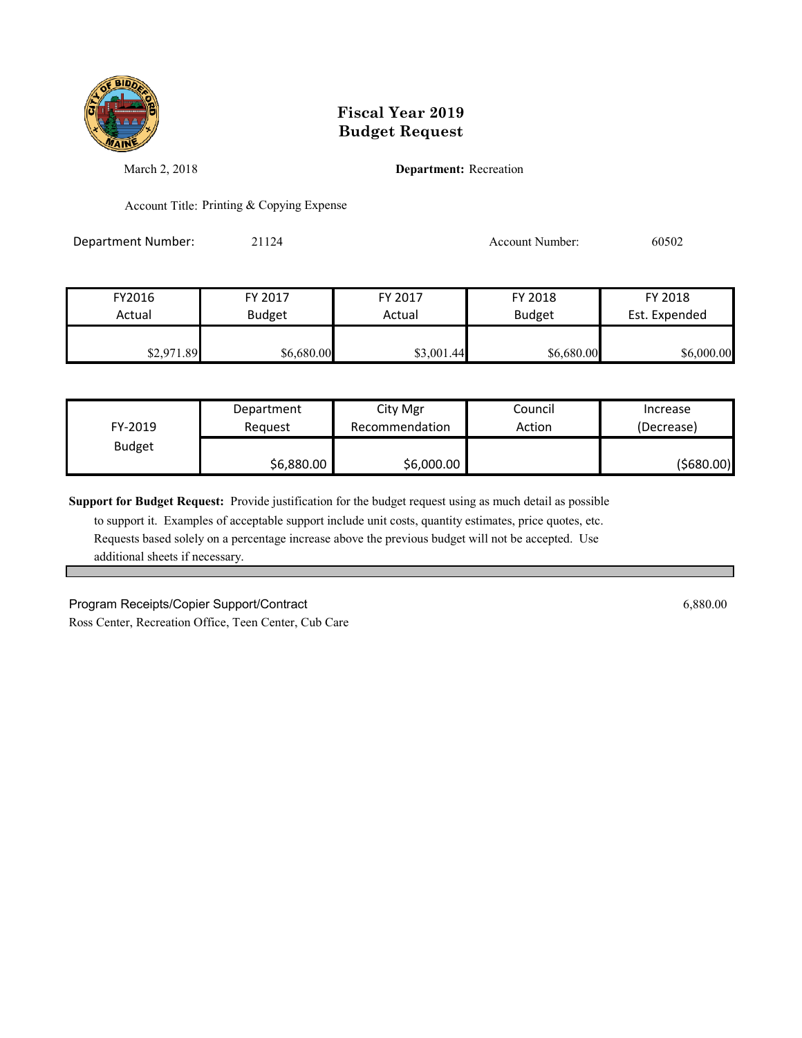

March 2, 2018 **Department:** Recreation

Account Title: Printing & Copying Expense

Department Number: 21124 21124 Account Number: 60502

| FY2016     | FY 2017       | FY 2017    | FY 2018       | FY 2018       |
|------------|---------------|------------|---------------|---------------|
| Actual     | <b>Budget</b> | Actual     | <b>Budget</b> | Est. Expended |
|            |               |            |               |               |
| \$2,971.89 | \$6,680.00    | \$3,001.44 | \$6,680.00    | \$6,000.00    |

|               | Department | City Mgr       | Council | Increase   |
|---------------|------------|----------------|---------|------------|
| FY-2019       | Reauest    | Recommendation | Action  | (Decrease) |
| <b>Budget</b> |            |                |         |            |
|               | \$6,880.00 | \$6,000.00     |         | (5680.00)  |

**Support for Budget Request:** Provide justification for the budget request using as much detail as possible

 to support it. Examples of acceptable support include unit costs, quantity estimates, price quotes, etc. Requests based solely on a percentage increase above the previous budget will not be accepted. Use additional sheets if necessary.

Program Receipts/Copier Support/Contract 6,880.00 Ross Center, Recreation Office, Teen Center, Cub Care